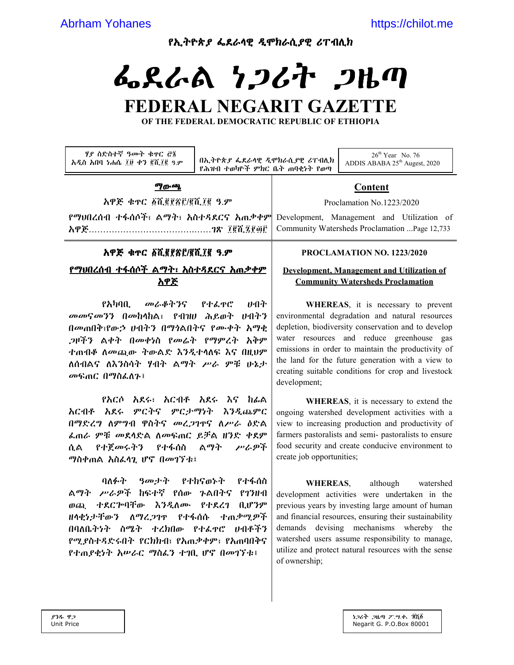የኢትዮጵያ ፌደራሳዊ ዲሞክራሲያዊ ሪፐብሊክ

# ふえんぬ ነጋሪት ጋዜጣ

# FEDERAL NEGARIT GAZETTE

OF THE FEDERAL DEMOCRATIC REPUBLIC OF ETHIOPIA

| ሃያ ስድስተኛ ዓመት ቁዋር ሮ፮<br>አዲስ አበባ ነሐሴ ፲፱ ቀን ፪ሺ፲፪ ዓ.ም                                                                                                                                                                                  | በኢትዮጵያ ፌደራሳዊ ዲሞክራሲያዊ ሪፐብሊክ<br>የሕዝብ ተወካዮች ምክር ቤት ጠባቂነት የወጣ |                                                                                                                                                                                                                                                                                                                                                                              | $26th$ Year No. 76<br>ADDIS ABABA 25 <sup>th</sup> Augest, 2020 |
|------------------------------------------------------------------------------------------------------------------------------------------------------------------------------------------------------------------------------------|-----------------------------------------------------------|------------------------------------------------------------------------------------------------------------------------------------------------------------------------------------------------------------------------------------------------------------------------------------------------------------------------------------------------------------------------------|-----------------------------------------------------------------|
| ማውጫ                                                                                                                                                                                                                                |                                                           | <u>Content</u>                                                                                                                                                                                                                                                                                                                                                               |                                                                 |
| አዋጅ ቁጥር ፩ሺ፪፻፳፫/፪ሺ፲፪ ዓ.ም                                                                                                                                                                                                            |                                                           | Proclamation No.1223/2020                                                                                                                                                                                                                                                                                                                                                    |                                                                 |
| የማህበረሰብ ተፋሰሶች፣ ልማት፣ አስተዳደርና አጠቃቀም                                                                                                                                                                                                  |                                                           | Development, Management and Utilization of                                                                                                                                                                                                                                                                                                                                   |                                                                 |
|                                                                                                                                                                                                                                    |                                                           | Community Watersheds Proclamation  Page 12,733                                                                                                                                                                                                                                                                                                                               |                                                                 |
| አዋጅ ቁዯር ፩ሺ፪፻፳፫/፪ሺ፲፪ ዓ.ም                                                                                                                                                                                                            |                                                           | PROCLAMATION NO. 1223/2020                                                                                                                                                                                                                                                                                                                                                   |                                                                 |
| <u>የማህበረሰብ ተፋሰሶች ልማት፣ አስተዳደርና አጠቃቀም</u>                                                                                                                                                                                            |                                                           | Development. Management and Utilization of                                                                                                                                                                                                                                                                                                                                   |                                                                 |
| አዋጅ                                                                                                                                                                                                                                |                                                           |                                                                                                                                                                                                                                                                                                                                                                              | <b>Community Watersheds Proclamation</b>                        |
| የአካባቢ መራቆትንና የተፌዋሮ<br>みっか<br>መመናመንን በመከላከል፣ የብዝሀ ሕይወት ሀብትን<br>በመጠበቅ፣የውኃ ሀብትን በማነልበትና የሙቀት አማቂ<br>,ንዞችን ልቀት በመቀነስ የመሬት የማምረት አቅም<br>ተጠብቆ ለመጪው ትውልድ እንዲተሳለፍ እና በዚህም<br>ለሰብልና ለእንስሳት ሃብት ልማት ሥራ ምቹ ሁኔታ<br>መፍጠር በማስፌስን፤                |                                                           | WHEREAS, it is necessary to prevent<br>environmental degradation and natural resources<br>depletion, biodiversity conservation and to develop<br>water resources and reduce greenhouse gas<br>emissions in order to maintain the productivity of<br>the land for the future generation with a view to<br>creating suitable conditions for crop and livestock<br>development; |                                                                 |
| <i>የእርሶ አ</i> ደሩ፣ <i>እርብቶ አ</i> ደሩ እና ከፊል<br>አርብቶ አደሩ ምርትና ምርታማነት እንዲጨምር<br>በማድረግ ስምግብ ዋስትና መረጋገዋና ስሥራ ዕድል<br>ፌጠራ ምቹ መደላድል ስመፍጠር ይቻል ዘንድ ቀደም<br><i>የተጀመሩትን የተ</i> ፋሰስ ል <i>ማት</i><br>ሥራዎች<br>ሲል -<br><i>ግ</i> ስቀጠል አስፌሳጊ ሆኖ በመገኘቱ፤ |                                                           | WHEREAS, it is necessary to extend the<br>ongoing watershed development activities with a<br>view to increasing production and productivity of<br>farmers pastoralists and semi-pastoralists to ensure<br>food security and create conducive environment to<br>create job opportunities;                                                                                     |                                                                 |
| ባለፉት                                                                                                                                                                                                                               | <i>ዓመታት የተከናወኑት የተ</i> ፋሰስ                                | <b>WHEREAS,</b>                                                                                                                                                                                                                                                                                                                                                              | although<br>watershed                                           |

ልማት ሥራዎች ከፍተኛ የሰው ጉልበትና የገንዘብ ወጪ ተደርጕባቸው እንዲለሙ የተደረገ ቢሆንም ዘላቂነታቸውን ለማረ.ጋገዋ የተፋሰሱ ተጠቃሚዎች በባለቤትነት ስሜት ተረክበው የተፌዋሮ ሀብቶችን የሚያስተዳድሩበት የርክክብ፣ የአጠቃቀም፣ የአጠባበቅና የተጠያቂነት አሥራር ማስፌን ተገቢ ሆኖ በመገኘቱ፤

### development activities were undertaken in the previous years by investing large amount of human and financial resources, ensuring their sustainability demands devising mechanisms whereby the watershed users assume responsibility to manage, utilize and protect natural resources with the sense of ownership;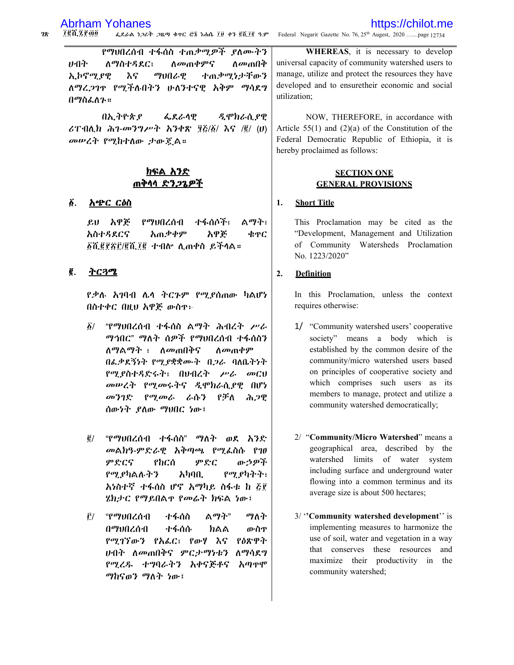$28$ ten zego ፌደራል ነጋሪት ጋዜጣ ቁዋር ሮ፮ ነሐሴ ፲፱ ቀን ፪ሺ፲፪ ዓ.ም Federal Negarit Gazette No. 76, 25<sup>th</sup> Augest, 2020 .......page 12734

የማህበረሰብ ተፋሰስ ተጠቃሚዎች ያለሙትን ひつか **ለማስተዳደር፣** ለ*መ*ጠቀምና ለ*መ*ጠበቅ እና ተጠ*ቃሚነታ*ቸውን ኢኮኖሚያዊ ማህበራዊ ለማረ.2ገዋ የሚችለብትን ሁለንተናዊ አቅም ማሳደግ በማስፌስን።

በኢትዮጵያ ፌደራሳዊ ዲሞክራሲ ያዊ ሪፐብሲክ ሕገ-መንግሥት እንቀጽ ፶፩/፩/ እና /፪/ (ሀ) መሠረት የሚከተለው ታውጇል።

### ክፍል አንድ ጠቅሳሳ ድንጋጌዎች

#### ĝ. <u>አጭር ርዕስ</u>

ይህ አዋጅ የማህበረሰብ 小くさんがっ ልማት፣ አጠቃቀም አዋጅ አስተዳደርና ቁዋር ፩ሺ፪፻፳፫/፪ሺ፲፪ ተብሎ ሊጠቀስ ይችላል።

#### ₫. <u>ትርጓሜ</u>

የቃሉ አገባብ ሌላ ትርጉም የሚደሰጠው ካልሆነ በስተቀር በዚህ አዋጅ ውስዋ፦

- "የማህበረሰብ ተፋሰስ ልማት ሕብረት ሥራ  $\delta/$ ማኅበር" ማለት ሰዎች የማህበረሰብ ተፋሰስን ለማልማት ፣ ለመጠበቅና ስመጠቀም በፌቃደኝነት የሚያቋቋሙት በጋራ ባለቤትነት የሚያስተዳድሩት፣ በሀብረት ሥራ መርህ መሥረት የሚመሩትና ዲሞክራሲያዊ በሆነ መንገድ የሚመራ ራሱን どがん ふつの ሰውነት ያለው ማህበር ነው፤
- ፪/ "የማህበረሰብ ተፋሰስ" ማለት ወደ አንድ መልክዓ-ምድራዊ አቅጣጫ የሚፌስሱ የገፀ ምድርና የከርሰ ምድር ውኃዎች የሚያካልሉትን  $\lambda$ ካባቢ የሚያካትት፣ አነስተኛ ተፋሰስ ሆኖ አማካይ ስፋቱ ከ ፩፻ ሄክታር የማይበልዋ የመሬት ክፍል ነው፤
- ፫/ "የማህበረሰብ ተፋሰስ ልማት" ማለት በማህበረሰብ ተፋሰሱ ክልል ውስዋ የሚገኘውን የአፌር፣ የውሃ እና የዕጽዋት ሁብት ለመጠበቅና ምር*ታማነ*ቱን ለማሳደግ የሚረዱ ተግባራትን አቀናጅቶና አጣዋሞ ማከናወን ማለት ነው፤

WHEREAS, it is necessary to develop universal capacity of community watershed users to manage, utilize and protect the resources they have developed and to ensuretheir economic and social utilization;

NOW, THEREFORE, in accordance with Article  $55(1)$  and  $(2)(a)$  of the Constitution of the Federal Democratic Republic of Ethiopia, it is hereby proclaimed as follows:

### **SECTION ONE GENERAL PROVISIONS**

#### 1. **Short Title**

This Proclamation may be cited as the "Development, Management and Utilization of Community Watersheds Proclamation No. 1223/2020"

#### $2.$ **Definition**

In this Proclamation, unless the context requires otherwise:

- 1/ "Community watershed users' cooperative society" means a body which is established by the common desire of the community/micro watershed users based on principles of cooperative society and which comprises such users as its members to manage, protect and utilize a community watershed democratically;
- 2/ "Community/Micro Watershed" means a geographical area, described by the watershed limits of water system including surface and underground water flowing into a common terminus and its average size is about 500 hectares;
- 3/ "Community watershed development" is implementing measures to harmonize the use of soil, water and vegetation in a way that conserves these resources and maximize their productivity in the community watershed;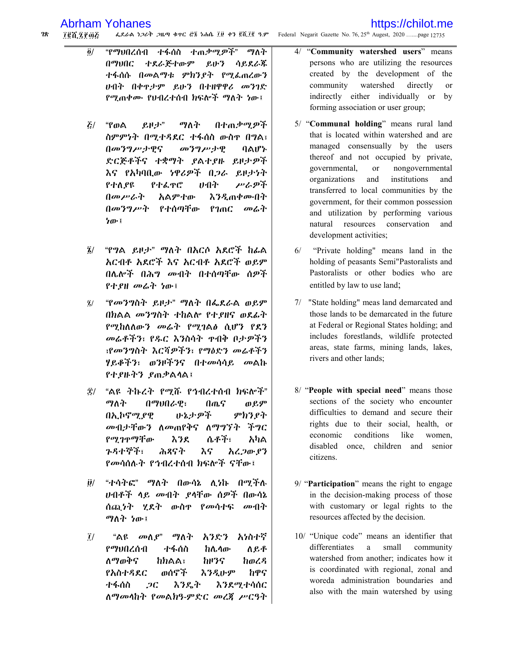#### $28$ ፌደራል ነጋሪት ጋዜጣ ቁተር ሮ፮ ነሐሴ ፲፱ ቀን ፪ሺ፲፪ ዓ.ም Federal Negarit Gazette No. 76, 25<sup>th</sup> Augest, 2020 .......page 12735 *TCK ZPOG*

- "የማህበረሰብ ተፋሰስ ተጠቃሚዎች" ማለት  $\ddot{\bm{o}}$ / ተደራጅተውም **N**<sup>7</sup>VAC ይሁን ሳይደራጁ ተፋሰሱ በመልማቱ ምክንያት የሚፌጠረውን ሁበት በቀዋታም ይሁን በተዘዋዋሪ መንገድ የሚጠቀሙ የህብረተሰብ ክፍሎች ማለት ነው፤
- $\mathcal{L}/\mathcal{L}$ "የወል ይዞታ" ማለት በተጠቃሚዎች ስምምነት በሚተዳደር ተፋሰስ ውስዋ በግል፣ በመንግሥታዊና መንግሥታዊ ባልሆኑ ድርጅቶችና ተቋማት ያልተያዙ ይዞታዎች እና የአካባቢው ነዋሪዎች በጋራ ይዞታነት የተለያዩ የተፌዋሮ みつか アムダネ አልምተው **እንዲጠቀሙበት** በመንግሥት የተሰጣቸው የገጠር መሬት ነው፤
- "የግል ይዞታ" ማለት በአርሶ አደሮች ከፊል  $\tilde{\mathbf{z}}$ / አርብቶ አደሮች እና አርብቶ አደሮች ወይም በሌሎች በሕግ መብት በተሰጣቸው ሰዎች የተያዘ መሬተ ነው፤
- "የመንግስት ይዞታ" ማለት በፌደራል ወይም  $\tilde{\mathbf{z}}$ በክልል መንግስት ተከልሎ የተያዘና ወደፊት የሚከለለውን መሬት የሚገልፅ ሲሆን የደን መሬቶችን፣ የዱር እንስሳት ዯብቅ ቦታዎችን ፣የመንግስት እርሻ*ዎችን*፣ የማዕድን መሬቶችን ሃይቆችን፣ ወንዞችንና በተ*መ*ሳሳይ *መ*ልኩ የተያዙትን ያጠቃልሳል፤
- ፰/ "ልዩ ትኩረት የሚሹ የኅብረተሰብ ክፍሎች" ማለት በማህበራዊ፣ በጨና ወይም いょナのネ በኢኮኖሚያዊ ምክንያት መብታቸውን ስመጠየቅና ስማግኘት ችግር የሚገጥማቸው እንደ ሴቶች፣ አካል ንዳተኞች፣ ሕጻናት እና አረ ጋው ያን የመሳሰሉት የኅብረተሰብ ክፍሎች ናቸው፣
- "ተሳትፎ" ማለት በውሳኔ ሊነኩ በሚችሉ  $\partial /$ ሆብቶች ሳይ መብት ያሳቸው ሰዎች በውሳኔ ሰጪነት ሂደት ውስዋ የመሳተፍ መብት ማለት ነው፤
- አንድን አነስተኛ  $\tilde{l}/$ "ልዩ *መ*ለ*ያ*" ማለት የማህበረሰብ ተፋሰስ ከሌላው ለይቶ <u>ለማወቅና</u> **hhaa:** ክዞንና ከወረዳ ወሰኖች የአስተዳደር ふろえゖም ከዋና ተፋሰስ  $2C$ እንዴት እንደሚተሳሰር ለማመላከት የመልክዓ-ምድር መረጃ ሥርዓት
- "Community watershed users" means  $\frac{4}{ }$ persons who are utilizing the resources created by the development of the watershed community directly <sub>or</sub> indirectly either individually or by forming association or user group;
- 5/ "Communal holding" means rural land that is located within watershed and are managed consensually by the users thereof and not occupied by private, governmental. **or** nongovernmental organizations and institutions and transferred to local communities by the government, for their common possession and utilization by performing various natural resources conservation and development activities;
- $6/$ "Private holding" means land in the holding of peasants Semi"Pastoralists and Pastoralists or other bodies who are entitled by law to use land;
- 7/ "State holding" meas land demarcated and those lands to be demarcated in the future at Federal or Regional States holding; and includes forestlands, wildlife protected areas, state farms, mining lands, lakes, rivers and other lands;
- 8/ "People with special need" means those sections of the society who encounter difficulties to demand and secure their rights due to their social, health, or economic conditions like women. disabled once, children and senior citizens.
- 9/ "Participation" means the right to engage in the decision-making process of those with customary or legal rights to the resources affected by the decision.
- 10/ "Unique code" means an identifier that differentiates a small community watershed from another; indicates how it is coordinated with regional, zonal and woreda administration boundaries and also with the main watershed by using

https://chilot.me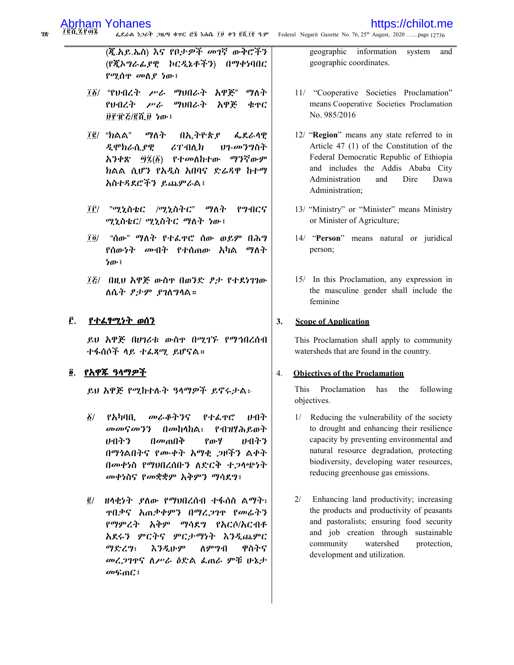78

### https://chilot.me

፲፪ሺ፯፻፴፮ ፌደራል ነጋሪት ጋዜጣ ቁዋር ሮ፮ ነሐሴ ፲፱ ቀን ፪ሺ፲፪ ዓ.ም Federal Negarit Gazette No. 76, 25<sup>th</sup> Augest, 2020 .......page 12736

> (ጂ.አይ.ኤስ) እና የቦታዎች መገኛ ውቅሮችን (የጇኦ*ግራፌያዊ* ኮር*ዲኔቶችን*) በማቀነባበር *የሚ*ሰዋ መለ*ያ ነ*ው፤

- ፲፩/ "የህብረት ሥራ ማህበራት አዋጅ" ማለት የሀብረት ሥራ ማህበራት አዋጅ ቁዋር ፱፻፹፩/፪ሺ፱ ነው፤
- $\vec{I}$ g̃/ "ክልል" ማለት በኢትዮጵያ ፌደራሳዊ ዲሞክራሲያዊ ሪፐብሊክ ህን-መንግስት ፵፯ $(\tilde{\beta})$  የተመለከተው ማንኛውም አንቀጽ ክልል ሲሆን የአዲስ አበባና ድሬዳዋ ከተማ አስተዳደሮችን ይጨምራል፤
- *īf/ "ሚኒስቴር /ሚኒስትር" ማለት*  $P9:0C5$ ሚኒስቴር/ ሚኒስትር ማለት ነው፤
- "ሰው" ማለት የተፌዋሮ ሰው ወይም በሕግ 7*6*/ የሰውነት መብት የተሰጠው አካል ማለት ነው፣
- ፲፭/ በዚህ አዋጅ ውስዋ በወንድ ፆታ የተደነገገው ለሴት ፆታም ያገለግላል።

#### Ĉ. የተፌፃሚነት ወሰን

ይህ አዋጅ በሀገሪቱ ውስዋ በሚገኙ የማኅበረሰብ ተፋሰሶች ላይ ተፌጻሚ ይሆናል።

### ፬. <u>የአዋጁ ዓላማዎች</u>

ይህ አዋጅ የሚከተሉት ዓላማዎች ይኖሩታል፡-

- $\delta/$  $P\lambda$ han. መራቆትንና የተፈዋሮ みつか መመናመንን  $\mathbf{a}$ መከላከል፣ የብዝሃሕይወት ルイトツ  $\theta$ *m* $\theta$ የውሃ みつみろ በማነልበትና የሙቀት አማቂ ጋዞችን ልቀት በመቀነስ የማህበረሰቡን ለድርቅ ተ.2ሳጭነት መቀነስና የመቋቋም አቅምን ማሳደግ፤
- ፪/ ዘሳቂነት ያለው የማህበረሰብ ተፋሰስ ልማት፣ ዋበቃና አጠቃቀምን በማረ*ጋ*ገዋ የመራትን የማምረት አቅም ማሳደግ የአርሶ/እርብቶ አደሩን ምርትና ምርታማነት እንዲጨምር ማድረግ፣ えろえいም ለምግብ ዋስትና መረጋገዋና ስሥራ ዕድል ፌጠራ ምቹ ሁኔታ *சு*கோ*்*

geographic information system and geographic coordinates.

- 11/ "Cooperative Societies Proclamation" means Cooperative Societies Proclamation No. 985/2016
- 12/ "Region" means any state referred to in Article 47 (1) of the Constitution of the Federal Democratic Republic of Ethiopia and includes the Addis Ababa City Administration and Dire Dawa Administration;
- 13/ "Ministry" or "Minister" means Ministry or Minister of Agriculture;
- 14/ "Person" means natural or juridical person;
- 15/ In this Proclamation, any expression in the masculine gender shall include the feminine

#### $3.$ **Scope of Application**

This Proclamation shall apply to community watersheds that are found in the country.

#### $\overline{4}$ . **Objectives of the Proclamation**

This Proclamation has the following objectives.

- 1/ Reducing the vulnerability of the society to drought and enhancing their resilience capacity by preventing environmental and natural resource degradation, protecting biodiversity, developing water resources, reducing greenhouse gas emissions.
- 2/ Enhancing land productivity; increasing the products and productivity of peasants and pastoralists; ensuring food security and job creation through sustainable community watershed protection, development and utilization.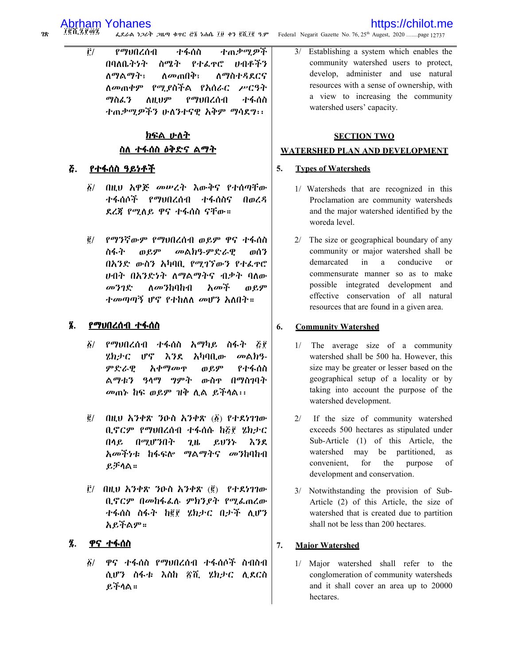#### TEN ZPAZ ፌደራል ነጋሪት ጋዜጣ ቁተር ሮ፮ ነሐሴ ፲፱ ቀን ፪ሺ፲፪ ዓ.ም

 $\tilde{\Gamma}$ / የማህበረሰብ ተፋሰስ ተጠቃሚዎች ስሜት የተራዋር ひのやぞろ በባለቤትንት <u>ለማልማት፣</u> ለ*መ*ጠበቅ፣ ስማስተዳደርና ለመጠቀም የሚያስችል የአሰራር ሥርዓት ማስፊን ስዚህም የማህበረሰብ ተፋሰስ ተጠቃሚዎችን ሁለንተናዊ አቅም ማሳደግ፡፡

### ክፍል ሁለት <u>ስለ ተፋሰስ ዕቅድና ልማት</u>

#### የተፋሰስ ዓይነቶች δ.

- በዚህ አዋጅ መሥረት እውቅና የተሰጣቸው  $\delta/$ ተፋሰሶች የማህበረሰብ ተፋሰስና  $0<sub>0</sub>$   $\zeta$   $\zeta$ ደረጀ የሚለይ ዋና ተፋሰስ ናቸው።
- የማንኛውም የማህበረሰብ ወይም ዋና ተፋሰስ  $\vec{g}/$ ስፋት ወይም መልክዓ-ምድራዊ ወሰን በአንድ ውስን አካባቢ የሚገኘውን የተራዋሮ ሠብት በእንድነት ለማልማትና ብቃት ባለው መንገድ ለ*መን*ከባከብ አመች ወይም *ተመጣጣኝ ሆኖ የተከ*ለለ *መሆን አ*ለበት።

#### 8. የማህበረሰብ ተፋሰስ

- $\delta/$ የማህበረሰብ ተፋሰስ አማካይ ስፋት ፭፻ りねずC Մኖ እንደ አካባቢው መልክዓ-ምድራዊ አቀማመዋ ወይም የተፋሰስ ልማቴን ዓላማ ማምት ውስዋ በማስባባት መጠኑ ከፍ ወይም ዝቅ ሊል ይችላል፡፡
- $\vec{e}$  / በዚህ አንቀጽ ንዑስ አንቀጽ (፩) የተደነገገው ቢኖርም የማህበረሰብ ተፋሰሱ ከጅቮ ሄክታር  $\mathbf{0}$   $\mathbf{0}$   $\mathbf{0}$ በማሆንበት  $2<sub>th</sub>$ ይህንኑ እንደ *አመችነቱ* ከፋፍሎ ማልማትና መንከባከብ ይቻሳል።
- $\tilde{E}$ / በዚህ አንቀጽ ንዑስ አንቀጽ  $(\tilde{g})$  የተደነገገው ቢኖርም በመከፋፌሉ ምክንያት የሚፌጠረው ተፋሰስ ስፋት ከ፪፻ ሄክታር በታች ሊሆን አይችልም።

#### Ź. ዋና ተፋሰስ

፩/ ዋና ተፋሰስ የማህበረሰብ ተፋሰሶች ስብስብ ሲሆን ስፋቱ እስከ ፳ሺ ሄክታር ሲደርስ ይችላል።

Federal Negarit Gazette No. 76, 25<sup>th</sup> Augest, 2020 .......page 12737

Establishing a system which enables the  $3/$ community watershed users to protect, develop, administer and use natural resources with a sense of ownership, with a view to increasing the community watershed users' capacity.

https://chilot.me

### **SECTION TWO**

### **WATERSHED PLAN AND DEVELOPMENT**

#### 5. **Types of Watersheds**

- 1/ Watersheds that are recognized in this Proclamation are community watersheds and the major watershed identified by the woreda level.
- 2/ The size or geographical boundary of any community or major watershed shall be demarcated  $in$  $\overline{a}$ conducive  $\alpha$ r commensurate manner so as to make possible integrated development and effective conservation of all natural resources that are found in a given area.

#### 6. **Community Watershed**

- 1/ The average size of a community watershed shall be 500 ha. However, this size may be greater or lesser based on the geographical setup of a locality or by taking into account the purpose of the watershed development.
- If the size of community watershed  $2/$ exceeds 500 hectares as stipulated under Sub-Article (1) of this Article, the watershed may be partitioned, **as** convenient. for the purpose of development and conservation.
- 3/ Notwithstanding the provision of Sub-Article (2) of this Article, the size of watershed that is created due to partition shall not be less than 200 hectares.

#### $7.$ **Maior Watershed**

1/ Major watershed shall refer to the conglomeration of community watersheds and it shall cover an area up to 20000 hectares.

78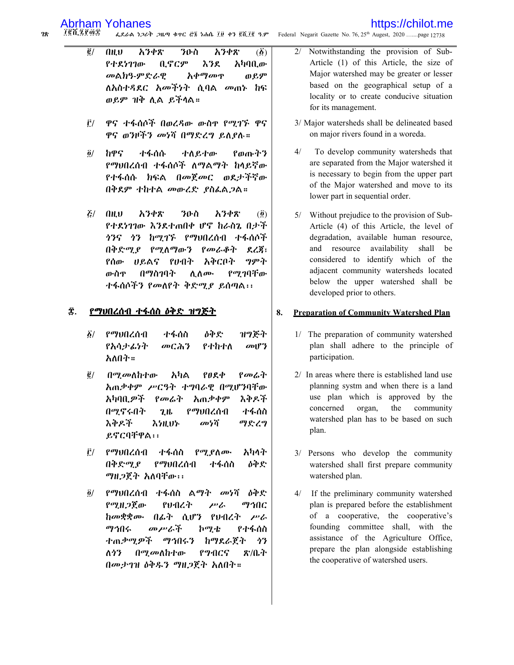### https://chilot.me

፲፪ሺ፯፻፴፰  $28$ ፌደራል ነጋሪት ጋዜጣ ቁዋር ሮ፮ ነሐሴ ፲፱ ቀን ፪ሺ፲፪ ዓ.ም Federal Negarit Gazette No. 76, 25<sup>th</sup> Augest, 2020 .......page 12738

- $\vec{g}/$  $0<sub>H</sub>$ አንቀጽ ንዑስ አንቀጽ  $\left(\vec{\Delta}\right)$ የተደነገገው ቢኖርም እንደ አካባቢው መልክዓ-ምድራዊ አቀማመዋ ወይም ለአስተዳደር *አመችነት* ሲባል *መ*ጠኑ ከፍ ወይም ዝቅ ሲል ይችላል።
- ዋና ተፋሰሶች በወረዳው ውስዋ የሚገኙ ዋና Ë/ ዋና ወንዞችን መነሻ በማድረግ ይለያሉ።
- ከዋና  $\partial/$ ተፋሰሱ ተለይተው የወጡትን የማህበረሰብ ተፋሰሶች ለማልማት ከላይኛው የተፋሰሱ ክፍል በመጀመር ወደታችኛው በቅደም ተከተል መውረድ ያስፌልጋል።
- $\mathcal{E}/$  $0<sub>H</sub>$ አንቀጽ ንዑስ አንቀጽ  $\left( \vec{\mathbf{0}} \right)$ የተደነገገው እንደተጠበቀ ሆኖ ከራስኔ በታች *ትንና ትን ከሚገኙ የማህበረሰብ ተፋሰሶች* በቅድሚያ የሚለማውን የመራቆት ደረጃ፣ የሰው ሀይልና የሀብት አቅርቦት ግምት ውስዋ በማስገባት ሲለሙ የሚገባቸው ተፋሰሶችን የመለየት ቅድሚያ ይሰጣል፡፡

#### Ŧ. <u>የማህበረሰብ ተፋሰስ ዕቅድ ዝግጅት</u>

- ዝግጅት  $\delta/$ የማህበረሰብ ተፋሰስ ዕቅድ የአሳታፊነት መርሕን የተከተለ  $\omega$ <sup>p</sup>? አለበት።
- በሚመለከተው አካል  $P$ <sub>0</sub> $R$ <sup> $\Phi$ </sup> የመሬት  $\vec{e}$  / አጠቃቀም ሥርዓት ተግባራዊ በሚሆንባቸው አካባቢ ዎች እቅዶች የመሬት አጠቃቀም በሚኖሩበት የማህበረሰብ ተፋሰስ  $2.1<sub>b</sub>$ እቅዶች መነሻ ማድረግ えっけんりん ይኖርባቸዋል፡፡
- የማህበረሰብ ተፋሰስ Ê/ የሚያስሙ አካላት የማህበረሰብ በቅድማ የ ተፋሰስ ዕቅድ ማዚጋጀት አለባቸው፡፡
- $\ddot{\mathbf{0}}$ / *የማህበረሰብ ተፋሰስ ልማት መነ*ሻ *ዕቅድ* የማዘጋጀው የህብረት ማኅበር  $\mu v/c$ ከመቋቋሙ በፊት ሲሆን የሀብረት ሥራ **ከሚቴ** ማኅበሩ መሥራች የተፋሰስ ተጠቃሚዎች ማኅበሩን ከማደራጀት うろ ለሳን በሚመለከተው **P**<sub>2</sub>·ACS ጽ/ቤት በመታገዝ ዕቅዱን ማዘጋጀት አለበት።
- Notwithstanding the provision of Sub- $2/$ Article (1) of this Article, the size of Major watershed may be greater or lesser based on the geographical setup of a locality or to create conducive situation for its management.
- 3/ Major watersheds shall be delineated based on major rivers found in a woreda.
- $4/$ To develop community watersheds that are separated from the Major watershed it is necessary to begin from the upper part of the Major watershed and move to its lower part in sequential order.
- Without prejudice to the provision of Sub- $5/$ Article (4) of this Article, the level of degradation, available human resource, and resource availability shall be considered to identify which of the adjacent community watersheds located below the upper watershed shall be developed prior to others.

#### 8. **Preparation of Community Watershed Plan**

- 1/ The preparation of community watershed plan shall adhere to the principle of participation.
- 2/ In areas where there is established land use planning systm and when there is a land use plan which is approved by the concerned organ, the community watershed plan has to be based on such plan.
- 3/ Persons who develop the community watershed shall first prepare community watershed plan.
- $4/$ If the preliminary community watershed plan is prepared before the establishment of a cooperative, the cooperative's founding committee shall, with the assistance of the Agriculture Office, prepare the plan alongside establishing the cooperative of watershed users.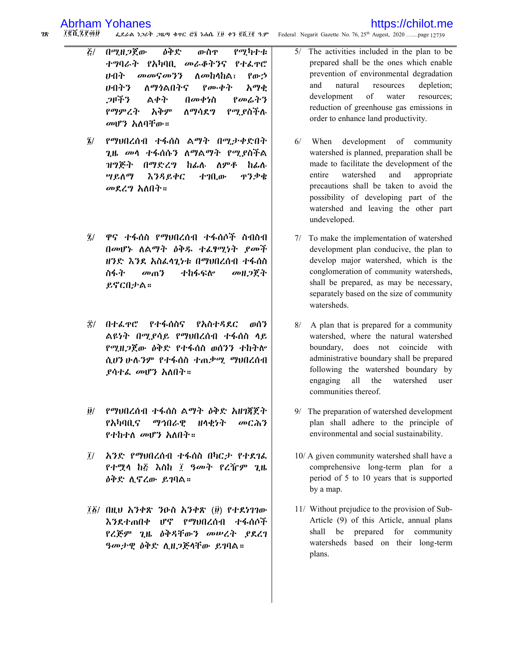### https://chilot.me

 $28$ **TEX ZFAD** ፌደራል ነጋሪት ጋዜጣ ቁተር ፸፮ ነሐሴ ፲፱ ቀን ፪ሺ፲፪ ዓ.ም Federal Negarit Gazette No. 76, 25<sup>th</sup> Augest, 2020 .......page 12739

- $\zeta/$ በሚዘ*ጋ*ጀው ዕቅድ የሚካተቱ ውስዋ ተግባራት የአካባቢ መራቆትንና የተፌዋሮ መመናመንን みのか ለመከላከል፣ የውኃ ひつぞろ ለማነልበትና የሙቀት አማቂ つドギシ ልቀት በመቀነስ የመሬትን የማምረት አቅም ለማሳደግ የሚያስችሉ መሆን አለባቸው።
- የማህበረሰብ ተፋሰስ ልማት በሚታቀድበት  $\mathbf{z}$ / ጊዜ *መ*ሳ ተፋሰሱን ለማልማት የሚያስችል ለምቶ ዝግጅት በማድረግ ከፊሉ ከፊሉ ዋንቃቄ ሣይለማ **እንዳይቀር** ተገቢው መደረግ አለበት።
- $\bar{z}$ / ዋና ተፋሰስ የማህበረሰብ ተፋሰሶች ስብስብ በመሆኑ ለልማት ዕቅዱ ተፈፃሚነት ያመች ዝንድ እንደ አስፌሳጊነቱ በማሀበረሰብ ተፋሰስ ስፋት  $\omega_0$ <sup>3</sup> ተከፋፍሎ መዘጋጀት ይኖርበታል።
- ፰/ በተፌዋሮ የተፋሰስና የአስተዳደር ወሰን ልዩነት በሚያሳይ የማህበረሰብ ተፋሰስ ላይ የሚዘጋጀው ዕቅድ የተፋሰስ ወሰንን ተከተሎ ሲሆን ሁሉንም የተፋሰስ ተጠቃሚ ማህበረሰብ ደሳተፌ መሆን አለበት።
- ፱/ የማህበረሰብ ተፋሰስ ልማት ዕቅድ አዘገጃጀት የአካባቢና ማኅበራዊ **flへセケヤ** መርሕን የተከተለ መሆን አለበት።
- አንድ የማህበረሰብ ተፋሰስ በካርታ የተደገሬ  $\tilde{I}/$ የተሟላ ከ፭ እስከ ፲ ዓመት የረዥም ጊዜ *ዕቅድ ሲኖረው ይገ*ባል።
- ፲፩/ በዚህ አንቀጽ ንዑስ አንቀጽ (፱) የተደነገገው እንደተጠበቀ ሆኖ የማህበረሰብ ተፋሰሶች የረጅም ጊዜ ዕቅዳቸውን መሠረት ያደረገ ዓመታዊ ዕቅድ ሲዘጋጅላቸው ይገባል።
- The activities included in the plan to be  $5/$ prepared shall be the ones which enable prevention of environmental degradation and natural resources depletion; development  $\alpha$ f water resources; reduction of greenhouse gas emissions in order to enhance land productivity.
- development of  $6/$ When community watershed is planned, preparation shall be made to facilitate the development of the entire watershed and appropriate precautions shall be taken to avoid the possibility of developing part of the watershed and leaving the other part undeveloped.
- 7/ To make the implementation of watershed development plan conducive, the plan to develop major watershed, which is the conglomeration of community watersheds, shall be prepared, as may be necessary, separately based on the size of community watersheds.
- A plan that is prepared for a community  $8/$ watershed, where the natural watershed boundary, does not coincide with administrative boundary shall be prepared following the watershed boundary by watershed user engaging all the communities thereof.
- 9/ The preparation of watershed development plan shall adhere to the principle of environmental and social sustainability.
- 10/ A given community watershed shall have a comprehensive long-term plan for a period of 5 to 10 years that is supported by a map.
- 11/ Without prejudice to the provision of Sub-Article (9) of this Article, annual plans shall be prepared for community watersheds based on their long-term plans.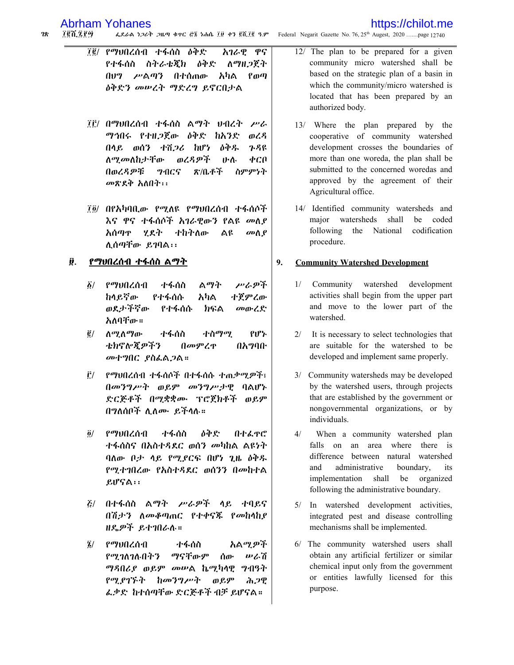### https://chilot.me

 $28$ 187.289 ፌደራል ነጋሪት ጋዜጣ ቁተር ፸፮ ነሐሴ ፲፱ ቀን ፪ሺ፲፪ ዓ.ም Federal Negarit Gazette No. 76, 25<sup>th</sup> Augest, 2020 .......page 12740

- ፲፪/ የማህበረሰብ ተፋሰስ ዕቅድ አገራዊ ዋና የተፋሰስ ስትራቴጂክ ዕቅድ ለማዘጋጀት በሀግ ሥልጣን በተሰጠው አካል  $P_0$ *ለቅድን መሠረት ማድረግ ይ*ኖርበታል
- ፲፫/ በማሀበረሰብ ተፋሰስ ልማት ሀብረት ሥራ ማኅበሩ የተዘጋጀው ዕቅድ ከአንድ ወረዳ በላይ ወሰን ተሽጋሪ ከሆነ ዕቅዱ 7.98 ወረዳዎች ስ*ማ* መስከታቸው **ルゾ** ቀርበ ስምምነት በወረዳዎቹ 71055 870イチ መጽደቅ አለበት፡፡
- ፲፬/ በየአካባቢው የሚለዩ የማህበረሰብ ተፋሰሶች እና ዋና ተፋሰሶች *አገራዊ*ውን የልዩ *መ*ለ*ያ* አሰጣዋ ሂደት ተከትለው ልዩ መስያ ሲሰጣቸው ይገባል፡፡

#### ₿. <u>የማህበረሰብ ተፋሰስ ልማት</u>

- ተፋሰስ ፩/ የማህበረሰብ ልማት アムダネ ከላይኛው የተፋሰሱ ተጀምረው አካል ወደታችኛው የተፋሰሱ ክፍል መውረድ አለባቸው።
- <u>ለሚለማው</u>  $\vec{e}$  / ተፋሰስ ተስማሚ የሆኑ ቴክኖሎጂዎችን በመምረዋ በአማባቡ መተግበር ያስፌልጋል።
- የማህበረሰብ ተፋሰሶች በተፋሰሱ ተጠቃሚዎች፣ Ê/ በመንግሥት ወይም መንግሥታዊ ባልሆኑ ድርጅቶች በሚቋቋሙ ፕሮጀክቶች ወይም በግለሰቦች ሊለሙ ይችላሉ።
- የማህበረሰብ ተፋሰስ ዕቅድ በተፌዋሮ  $\vec{\mathbf{0}}$ / ተፋሰስና በአስተዳደር ወሰን *መካ*ከል ልዩነት ባለው ቦታ ላይ የሚያርፍ በሆነ ጊዜ ዕቅዱ የሚተግበረው የአስተዳደር ወሰንን በመከተል ይሆናል፡፡
- $\mathbf{z}$ / በተፋሰስ ልማት ሥራዎች ላይ ተባይና በሽታን ለመቆጣጠር የተቀናጁ የመከላከያ ዘዴዎች ይተገበራሉ።
- $\tilde{\mathbf{z}}/$ የማህበረሰብ ተፋሰስ አልሚዎች የሚገለገሉበትን ማናቸውም ሰው かんで ማዳበሪያ ወይም መሥል ኬሚካላዊ ግብዓት ከመንግሥት የሚያገኙት ወይም ሕጋዊ ፌቃድ ከተሰጣቸው ድርጅቶች ብቻ ይሆናል።
- 12/ The plan to be prepared for a given community micro watershed shall be based on the strategic plan of a basin in which the community/micro watershed is located that has been prepared by an authorized body.
- 13/ Where the plan prepared by the cooperative of community watershed development crosses the boundaries of more than one woreda, the plan shall be submitted to the concerned woredas and approved by the agreement of their Agricultural office.
- 14/ Identified community watersheds and major watersheds shall be coded following the National codification procedure.

#### $9<sub>1</sub>$ **Community Watershed Development**

- 1/ Community watershed development activities shall begin from the upper part and move to the lower part of the watershed.
- $2/$  It is necessary to select technologies that are suitable for the watershed to be developed and implement same properly.
- 3/ Community watersheds may be developed by the watershed users, through projects that are established by the government or nongovernmental organizations, or by individuals.
- $\Delta/$ When a community watershed plan falls on an area where there is difference between natural watershed and administrative boundary, its implementation shall be organized following the administrative boundary.
- 5/ In watershed development activities, integrated pest and disease controlling mechanisms shall be implemented.
- 6/ The community watershed users shall obtain any artificial fertilizer or similar chemical input only from the government or entities lawfully licensed for this purpose.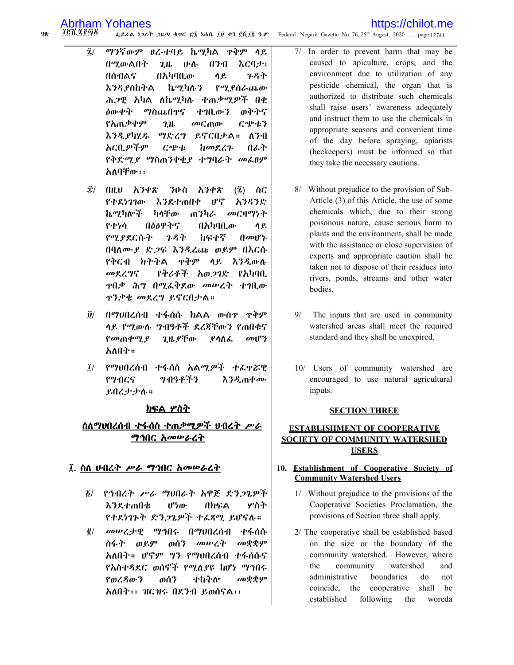78.

### https://chilot.me

፲፪ሺ፯፻፵፩ ፌደራል ነጋሪት ጋዜጣ ቁተር ፸፮ ነሐሴ ፲፱ ቀን ፪ሺ፲፪ ዓ.ም Federal Negarit Gazette No. 76, 25<sup>th</sup> Augest, 2020 .......page 12741

- $\overline{2}$ / ማንኛውም ፀረ-ተባይ ኬሚካል ዋቅም ሳይ በሚውልበት  $2<sub>th</sub>$ **U.V.** A34 እርባታ፣ በሰብልና በአካባቢው ሳይ ንዳት እንዳያስከትል ኬሚካሉን የሚያሰራጨው ሕጋዊ አካል ለኬሚካሉ ተጠቃሚዎች በቂ *ለ*ውቀት ማስጨበዋና ተገቢውን ወቅትና የአጠቃቀም  $2.1<sub>b</sub>$ *መ*ርጠው ርጭቱን እንዲያካሂዱ ማድረግ ይኖርበታል። ለንብ አርቢዎችም ርጭቱ ከመደረጉ በፊት የቅድሚያ ማስጠንቀቂያ ተግባራት መፌፀም አለባቸው፡፡
- 雲/ በዚህ አንቀጽ ንዑስ አንቀጽ  $(\vec{2})$ ስር የተደነገገው እንደተጠበቀ լթգ አንዳንድ ኬማካሎች ካላቸው ጠንካራ *መር*ዛማነት የተነሳ በዕልዋትና በአካባቢው ሳይ わられぞ የሚያደርሱት ブタヤ  $\int d\omega \psi$ በባለሙያ ድጋፍ እንዲረጩ ወይም በእርሱ የቅርብ ክትትል ቀቅም ላይ እንዲውሉ መደረግና የቅሪቶች አወ*ጋ*ገድ የአካባቢ ዋበቃ ሕግ በሚፌቅደው መሥረት ተገቢው ዋንቃቄ መደረግ ይኖርበታል።
- $\partial$ / በማህበረሰብ ተፋሰሱ ክልል ውስዋ ዋቅም ሳይ የሚውሉ ግብዓቶች ደረጃቸውን የጠበቁና ጊዜ ያቸው የመጠቀሚያ ያሳስራ  $\omega$ <sup>P</sup> አለበት።
- ፲/ የማህበረሰብ ተፋሰስ አልሚዎች ተፌዋሯዊ **9**ብዓቶችን **እንዲጠቀሙ P**PIICS ይበረታታሉ።

### ክፍል ሦስት

### ስለማህበረሰብ ተፋሰስ ተጠቃሚዎች ህብረት ሥራ ማኅበር አመሥራረት

### ፲. ስለ ሀብረት ሥራ ማኅበር አመሥራረት

- ፩/ \_ የኅብረት \_ሥራ\_ ማህበራት\_ አዋጅ\_ድንጋጌዎች እንደተጠበቁ **ሆነው** በክፍል ሦስት የተደነገጉተ ድንጋጌዎች ተራጻሚ ይሆናሉ።
- መሠረታዊ ማኅበሩ በማህበረሰብ ተፋሰሱ  $\vec{e}/$ *ள*ழ்த்து ስፋት ወይም ወሰን መሠረት አለበት። ሆኖም ግን የማህበረሰብ ተፋሰሱና የአስተዳደር ወሰኖች የሚለያዩ ከሆነ ማኅበሩ መቋቋም የወረዳውን ወሰን ተከትሎ አለበት፡፡ ዝርዝሩ በደንብ ይወሰናል፡፡
- In order to prevent harm that may be  $7/$ caused to apiculture, crops, and the environment due to utilization of any pesticide chemical, the organ that is authorized to distribute such chemicals shall raise users' awareness adequately and instruct them to use the chemicals in appropriate seasons and convenient time of the day before spraying, apiarists (beekeepers) must be informed so that they take the necessary cautions.
- 8/ Without prejudice to the provision of Sub-Article (3) of this Article, the use of some chemicals which, due to their strong poisonous nature, cause serious harm to plants and the environment, shall be made with the assistance or close supervision of experts and appropriate caution shall be taken not to dispose of their residues into rivers, ponds, streams and other water bodies.
- 9/ The inputs that are used in community watershed areas shall meet the required standard and they shall be unexpired.
- 10/ Users of community watershed are encouraged to use natural agricultural inputs.

### **SECTION THREE**

### **ESTABLISHMENT OF COOPERATIVE SOCIETY OF COMMUNITY WATERSHED USERS**

### 10. Establishment of Cooperative Society of **Community Watershed Users**

- 1/ Without prejudice to the provisions of the Cooperative Societies Proclamation, the provisions of Section three shall apply.
- 2/ The cooperative shall be established based on the size or the boundary of the community watershed. However, where the community watershed and administrative boundaries do not coincide, the cooperative shall be established following the woreda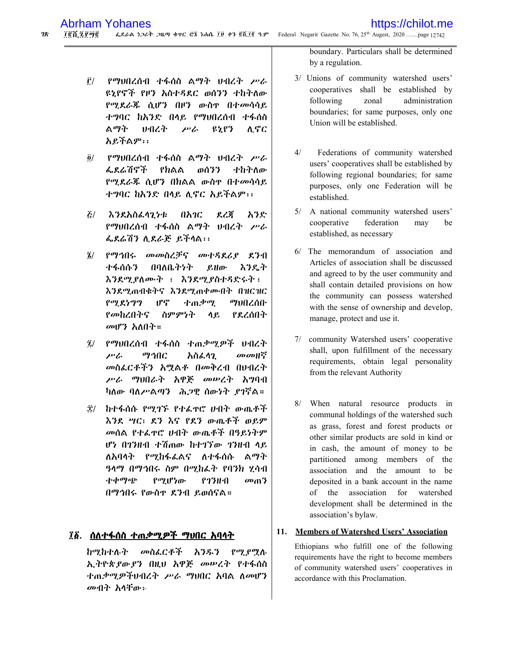- የማህበረሰብ ተፋሰስ ልማት ህብረት ሥራ Ê/ ዩኒየኖች የዞን አስተዳደር ወሰንን ተከትለው የሚደራጁ ሲሆን በዞን ውስዋ በተመሳሳይ ተግባር ከአንድ በላይ የማህበረሰብ ተፋሰስ ልማት せっかい  $P$ **ዩኒየን** ሊኖር አይችልም፡፡
- የማህበረሰብ ተፋሰስ ልማት ህብረት ሥራ  $\ddot{\mathbf{0}}$ / ፌደሬሽኖች የክልል ወሰንን ተከትለው የሚደራጅ ሲሆን በክልል ውስዋ በተመሳሳይ ተግባር ከአንድ በላይ ሊኖር አይችልም፡፡
- $\mathcal{E}/$ እንደአስፈላንታቱ በአንር ደረጃ አንድ የማህበረሰብ ተፋሰስ ልማት ህብረት ሥራ ፌደሬሽን ሲደራጅ ይችላል፡፡
- የማኅበሩ መመስረቻና መተዳደሪያ ደንብ  $\bar{\mathbf{z}}$ / ተፋሰሱን በባለቤትንት  $<sub>g</sub>$ Ho $<sub>g</sub>$ </sub></sub> እንዴት እንደሚያለሙት ፣ እንደሚያስተዳድሩት፣ እንደሚጠብቁትና እንደሚጠቀሙበት በዝርዝር  $P^T R 799$ լբգ ተጠቃሚ ማህበረሰቡ የመከረበትና ስምምነት ሳይ የደረሰበት መሆን አለበት።
- የማህበረሰብ ተፋሰስ ተጠቃማዎች ህብረት  $\tilde{\mathbf{z}}$  $\mu$ <sup>2</sup> ማኅበር አስፌሳጊ መመዘኛ መስፌርቶችን አሟልቶ በመቅረብ በሀብረት ሥራ ማህበራት አዋጅ መሥረት አግባብ ካለው ባለሥልጣን ሕጋዊ ሰውነት ያገኛል።
- ፰/ ከተፋሰሱ የሚገኙ የተፌዋሮ ሆብት ውጤቶች እንደ ሣር፣ ደን እና የደን ውጤቶች ወይም መሰል የተፈዋሮ ሀብት ውጤቶች በዓይነትም ሆነ በገንዘብ ተሽጠው ከተገኘው ገንዘብ ላይ ለአባሳት የሚከፋፌልና ለተፋሰሱ ልማት ዓላማ በማኅበሩ ስም በሚከፌት የባንክ ሂሳብ ተቀማጭ የሚሆነው ?77H.A  $\omega_0$ <sup>3</sup> በማኅበሩ የውስዋ ደንብ ይወሰናል።

### ፲፩. <u>ሰለተፋሰስ ተጠቃሚዎች ማህበር አባላት</u>

ከሚከተሉ*ት መ*ስፌርቶች አንዱን የሚያሟሉ ኢትዮጵያውያን በዚህ አዋጅ መሠረት የተፋሰስ ተጠቃሚዎችህብረት ሥራ ማህበር አባል ስመሆን መብት አሳቸው፦

boundary. Particulars shall be determined by a regulation.

- 3/ Unions of community watershed users' cooperatives shall be established by following zonal administration boundaries; for same purposes, only one Union will be established
- $4/$ Federations of community watershed users' cooperatives shall be established by following regional boundaries; for same purposes, only one Federation will be established.
- 5/ A national community watershed users' federation cooperative may be established, as necessary
- 6/ The memorandum of association and Articles of association shall be discussed and agreed to by the user community and shall contain detailed provisions on how the community can possess watershed with the sense of ownership and develop, manage, protect and use it.
- 7/ community Watershed users' cooperative shall, upon fulfillment of the necessary requirements, obtain legal personality from the relevant Authority
- 8/ When natural resource products in communal holdings of the watershed such as grass, forest and forest products or other similar products are sold in kind or in cash, the amount of money to be partitioned among members of the association and the amount to be deposited in a bank account in the name of the association for watershed development shall be determined in the association's bylaw.

#### **Members of Watershed Users' Association** 11.

Ethiopians who fulfill one of the following requirements have the right to become members of community watershed users' cooperatives in accordance with this Proclamation.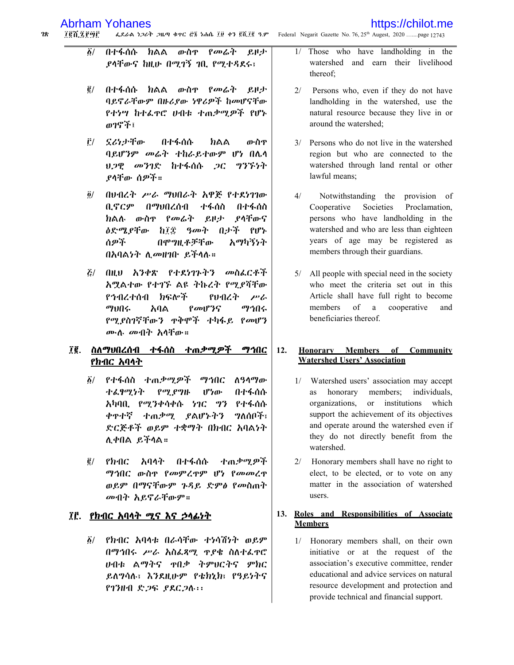#### $28$ 100.2896 ፌደራል ነጋሪት ጋዜጣ ቁጥር ፸፮ ነሐሴ ፲፱ ቀን ፪ሺ፲፪ ዓ.ም Federal Negarit Gazette No. 76, 25th Augest, 2020 .......page 12743

- 
- $\delta/$ በተፋሰሱ ክልል ውስዋ የመራት ይዞታ ያላቸውና ከዚሁ በሚገኝ ገቢ የሚተዳደሩ፣
- በተፋሰሱ ክልል ውስዋ የመሬት ይዞታ  $\vec{e}$  / ባይኖራቸውም በዙሪያው ነዋሪዎች ከመሆናቸው የተነሣ ከተፌዋሮ ሀብቱ ተጠቃሚዎች የሆኑ ወገኖች፤
- ኗሪነታቸው Ê/ በተፋሰሱ ክልል ውስዋ ባይሆንም መሬት ተከራይተውም ሆነ በሌላ ህጋዊ መንገድ ከተፋሰሱ ጋር ግንኙነት ያላቸው ሰዎች።
- $\tilde{g}/$ በሁብረት ሥራ ማህበራት አዋጅ የተደነገገው ቢኖርም በማህበረሰብ ተፋሰስ በተፋሰስ ክልሉ ውስዋ የመሬት ይዞታ ያላቸውና *ዕድሜያቸው ከ፲፰ ዓመት በታች የ*ሆኑ ሰዎች በሞግዚቶቻቸው አማካኝነት በአባልነት ሊመዘገቡ ይችላሉ።
- *ξ/ በዚህ አንቀጽ የተደነገኑትን መስፌርቶች* አሟልተው የተገኙ ልዩ ትኩረት የሚያሻቸው የኅብረተሰብ ክፍሎች የህብረት  $P<sub>c</sub>$ ツゖハム አባል  $\ell$ avl $\ell$ <sup>2</sup>f ማኅበሩ የሚያስገኛቸውን ዋቅሞች ተካፋይ የመሆን ሙሉ *መ*ብት አሳቸው።

### ፲፪. ስለማህበረሰብ ተፋሰስ ተጠ*ቃሚዎ*ች ማኅበር <u>የክብር አባላት</u>

- ፩/ የተፋሰስ ተጠ*ቃሚዎች ማኅ*በር ስዓላማው ተፌፃሚነት በተፋሰሱ  $P^{\sigma}$ le  $P^{\sigma}$ lle  $P^{\sigma}$ ሆነው አካባቢ የሚንቀሳቀሱ ነገር ግን የተፋሰሱ ቀዋተኛ ተጠቃሚ ያልሆኑትን ግለሰቦች፣ ድርጅቶች ወይም ተቋማት በክብር አባልነት ሊቀበል ይችላል።
- $\vec{e}$ / የክብር አባላት በተፋሰሱ ተጠቃሚዎች ማኅበር ውስዋ የመምረዋም ሆነ የመመረዋ ወይም በማናቸውም ጉዳይ ድምፅ የመስጠት መብት አይኖራቸውም።

### ፲፫. የክብር አባላት ሚና እና ኃላፊነት

፩/ የክብር አባላቱ በራሳቸው ተነሳሽነት ወይም በማኅበሩ ሥራ አስፌጻሚ ዋያቄ ስለተፌዋሮ ሁበቱ ልማትና ተበቃ ትምሀርተና ምክር ይለግሳለ። እንደዚሁም የቴክኒክ፣ የዓይነትና  $P7$ HA  $R9$   $R2Q3$   $\cdots$ 

Those who have landholding in the  $1/$ watershed and earn their livelihood thereof:

https://chilot.me

- $2/$ Persons who, even if they do not have landholding in the watershed, use the natural resource because they live in or around the watershed;
- 3/ Persons who do not live in the watershed region but who are connected to the watershed through land rental or other lawful means;
- $4/$ Notwithstanding the provision of Cooperative Societies Proclamation, persons who have landholding in the watershed and who are less than eighteen years of age may be registered as members through their guardians.
- 5/ All people with special need in the society who meet the criteria set out in this Article shall have full right to become members  $\sigma$ f a cooperative and beneficiaries thereof.

#### $12.$ Honorary Members of Community **Watershed Users' Association**

- 1/ Watershed users' association may accept members; individuals. as honorary organizations, or institutions which support the achievement of its objectives and operate around the watershed even if they do not directly benefit from the watershed.
- 2/ Honorary members shall have no right to elect, to be elected, or to vote on any matter in the association of watershed users.

### 13. Roles and Responsibilities of Associate **Members**

1/ Honorary members shall, on their own initiative or at the request of the association's executive committee, render educational and advice services on natural resource development and protection and provide technical and financial support.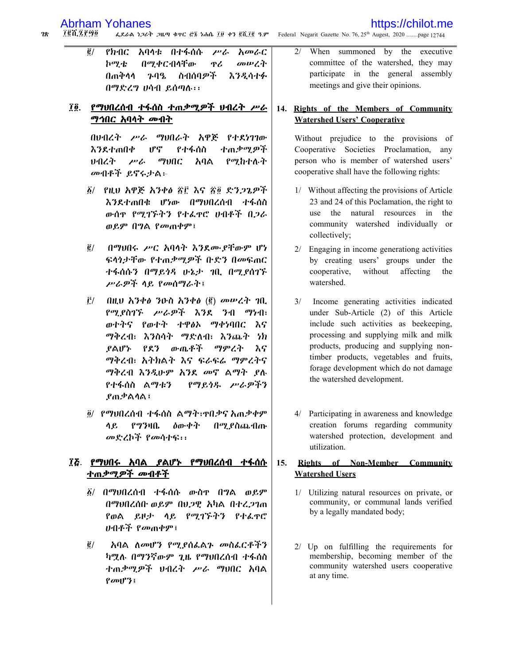### https://chilot.me

ፌደራል ነጋሪት ጋዜጣ ቁጥር ሮ፮ ነሐሴ ፲፱ ቀን ፪ሺ፲፪ ዓ.ም Federal Negarit Gazette No. 76, 25<sup>th</sup> Augest, 2020 .......page 12744  $28$ 707.ZP90

> $\vec{g}/$ አባላቱ በተፋሰሱ አመራር የክብር  $\mu$ ኮሚቴ በሚቀርብላቸው ዋሪ መሠረት በጠቅሳሳ ንባዔ ስብሰባዎች እንዲሳተፉ በማድረግ ሀሳብ ይሰጣሉ፡፡

### ፲፬. <u>የማህበረሰብ ተፋሰስ ተጠቃሚዎች ህብረት ሥራ</u> <u>ማኅበር አባላት መብት</u>

በህብረት ሥራ ማህበራት አዋጅ የተደነገገው  $\mathfrak{g}^{\mathfrak{g}}$ ተጠቃሚዎች እንደተጠበቀ የተፋሰስ ひのくネー  $\mu$  $\omega$ የሚከተሉት አባል መብቶች ይኖሩታል:-

- ፩/ የዚህ አዋጅ አንቀፅ ፳፫ እና ፳፬ ድንጋጌዎች እንደተጠበቁ ሆነው በማህበረሰብ ተፋሰስ ውሰዋ የሚገኙትን የተፌዋሮ ሆብቶች በጋራ ወይም በግል የመጠቀም፤
- $\tilde{\mathbf{g}}/$ በማህበሩ ሥር አባላት እንደሙያቸውም ሆነ ፍላጎታቸው የተጠቃሚዎች ቡድን በመፍጠር ተፋሰሱን በማይነዳ ሁኔታ ገቢ በሚያስገኙ ሥራዎች ላይ የመሰማራት፤
- $\hat{E}$ / በዚህ አንቀፅ ንዑስ አንቀፅ (፪) መሥረት ገቢ የሚያስገኙ ሥራዎች እንደ ንብ ማነብ፣ ወተትና የወተት ተዋፅኦ ማቀነባበር እና ማቅረብ፣ እንስሳት ማድለብ፣ እንጨት ነክ <u>የልሆኑ የደን ውዉቶች ማምረት እና</u> ማቅረብ፣ አትክልት እና ፍራፍሬ ማምረትና ማቅረብ እንዲሁም አንደ መኖ ልማት ያሉ የተፋሰስ ልማቱን የማይጎዱ ሥራዎችን **ያጠቃልሳል፤**
- ፬/ የማህበረሰብ ተፋሰስ ልማት፣ዋበቃና አጠቃቀም የግንዛቤ ሳይ ዕውቀት በሚ ያስጨብጡ መድረኮች የመሳተፍ፡፡

### ፲፭. የማህበሩ አባል ያልሆኑ የማህበረሰብ ተፋሰሱ <u>ተጠቃሚዎች መብቶች</u>

- ፩/ በማህበረሰብ ተፋሰሱ ውስዋ በግል ወይም በማህበረሰቡ ወይም በሀጋዊ አካል በተረጋገጠ የወል ይዞታ ላይ የሚገኙትን የተራዋሮ ሁብቶች *የመ*ጠቀም፤
- አባል ለመሆን የሚያሰራልጉ መስራርቶችን  $\tilde{\mathbf{g}}/$ ካሟሉ በማንኛውም ጊዜ የማህበረሰብ ተፋሰስ ተጠቃሚዎች ህብረት ሥራ ማህበር አባል  $\{ov1\}$ ?

When summoned by the executive  $2/$ committee of the watershed, they may participate in the general assembly meetings and give their opinions.

#### Rights of the Members of Community 14. **Watershed Users' Cooperative**

Without prejudice to the provisions of Cooperative Societies Proclamation, any person who is member of watershed users' cooperative shall have the following rights:

- 1/ Without affecting the provisions of Article 23 and 24 of this Poclamation, the right to use the natural resources in the community watershed individually or collectively;
- 2/ Engaging in income generationg activities by creating users' groups under the cooperative, without affecting the watershed.
- 3/ Income generating activities indicated under Sub-Article (2) of this Article include such activities as beekeeping, processing and supplying milk and milk products, producing and supplying nontimber products, vegetables and fruits, forage development which do not damage the watershed development.
- 4/ Participating in awareness and knowledge creation forums regarding community watershed protection, development and utilization.

#### $15.$ Rights of Non-Member Community **Watershed Users**

- 1/ Utilizing natural resources on private, or community, or communal lands verified by a legally mandated body;
- $2/$  Up on fulfilling the requirements for membership, becoming member of the community watershed users cooperative at any time.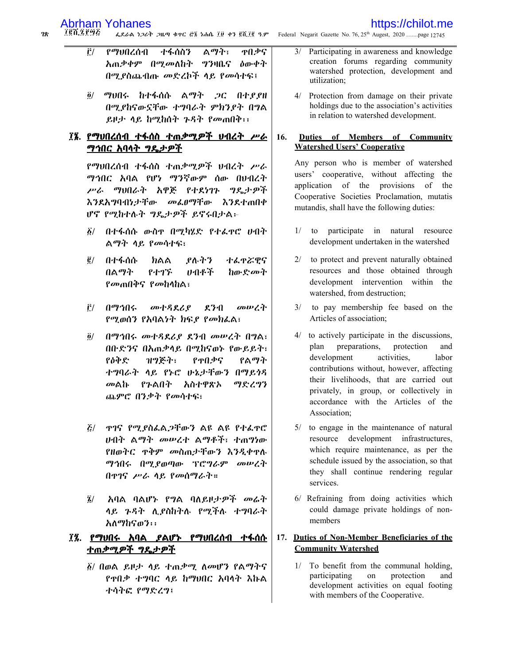### https://chilot.me

፲፪ሺ፯፻፵፭ ፌደራል ነጋሪት ጋዜጣ ቁጥር ሮ፮ ነሐሴ ፲፱ ቀን ፪ሺ፲፪ ዓ.ም Federal Negarit Gazette No. 76, 25<sup>th</sup> Augest, 2020 .......page 12745 78.

- ልማት፣  $\tilde{\Gamma}$ / ተፋሰስን ዋበቃና የማህበረሰብ አጠቃቀም በሚመለከት ግንዛቤና ዕውቀት በሚያስጨብጡ መድረኮች ላይ የመሳተፍ፤
- $\delta$ / ማህበሩ ከተፋሰሱ ልማት ጋር በተያያዘ በሚያከናውኗቸው ተግባራት ምክንያት በግል ይዞታ ላይ ከሚከሰት ጉዳት የመጠበቅ፡፡

### ፲፮. <u>የማህበረሰብ ተፋሰስ ተጠቃሚዎች ህብረት ሥራ</u> <u>ማኅበር አባላት ግዴታዎች</u>

የማህበረሰብ ተፋሰስ ተጠቃሚዎች ህብረት ሥራ ማኅበር አባል የሆነ ማንኛውም ሰው በሀብረት ሥራ ማህበራት አዋጅ የተደነገኑ ግዴታዎች እንደአግባብነታቸው መፌፀማቸው እንደተጠበቀ ሆኖ የሚከተሉት ግዴታዎች ይኖሩበታል፡-

- $\delta$ / በተፋሰሱ ውስዋ በሚካሂድ የተፈዋሮ ሀብት ል*ማት ላይ የመሳተፍ*፣
- $\vec{g}$ / በተፋሰሱ ክልል ያሉትን ተፌዋሯዊና በልማት የተገኙ ひれやや ከውድ*መት የመ*ጠበቅና የመከላከል፣
- i\*/ በማኅበሩ መተዳደሪያ ደንብ መሠረት የሚወሰን የአባልነት ክፍያ የመክፌል፣
- $\tilde{g}/$ በማኅበሩ መተዳደሪያ ደንብ መሥረት በግል፣ በቡድንና በአጠቃላይ በሚከናወኑ የውይይት፣ የዕቅድ ዝግጅት፣ የዋበቃና የልማት ተግባራት ላይ የኑሮ ሁኔታቸውን በማይነዳ መልኩ የንልበት አስተዋጽኦ ማድረግን ጨምሮ በንቃት የመሳተፍ፣
- *ξ/ \_ ሞ1ና የሚያስፌ*ል*ጋ*ቸውን ልዩ ልዩ የተፌዋሮ ሀብት ልማት መሠረተ ልማቶች፣ ተጠግነው የዘወትር ዋቅም መስጠታቸውን እንዲቀዋሉ ማኅበሩ በሚያወጣው ፕሮግራም መሠረት በዋገና ሥራ ላይ የመሰማራት።
- ላይ ጉዳት ሲያስከትሉ የሚችሉ ተግባራት አለማከናወን፡፡

### ፲፯. <u>የማህበሩ አባል ያልሆኑ የማህበረሰብ ተፋሰሱ</u> <u>ተጠቃሚዎች ግዴታዎች</u>

፩/ በወል ይዞታ ሳይ ተጠቃሚ ለመሆን የልማትና የዋበቃ ተግባር ላይ ከማህበር አባላት እኩል ተሳትፎ የማድረግ፤

- $3/$ Participating in awareness and knowledge creation forums regarding community watershed protection, development and utilization:
- Protection from damage on their private  $\Delta$ / holdings due to the association's activities in relation to watershed development.

#### Duties of Members of Community 16. **Watershed Users' Cooperative**

Any person who is member of watershed users' cooperative, without affecting the application of the provisions of the Cooperative Societies Proclamation, mutatis mutandis, shall have the following duties:

- to participate in natural resource  $1/$ development undertaken in the watershed
- 2/ to protect and prevent naturally obtained resources and those obtained through development intervention within the watershed, from destruction;
- 3/ to pay membership fee based on the Articles of association;
- 4/ to actively participate in the discussions, plan preparations, protection and labor development activities. contributions without, however, affecting their livelihoods, that are carried out privately, in group, or collectively in accordance with the Articles of the Association:
- 5/ to engage in the maintenance of natural resource development infrastructures, which require maintenance, as per the schedule issued by the association, so that they shall continue rendering regular services.
- 6/ Refraining from doing activities which could damage private holdings of nonmembers

#### Duties of Non-Member Beneficiaries of the 17. **Community Watershed**

 $1/$ To benefit from the communal holding, participating on protection and development activities on equal footing with members of the Cooperative.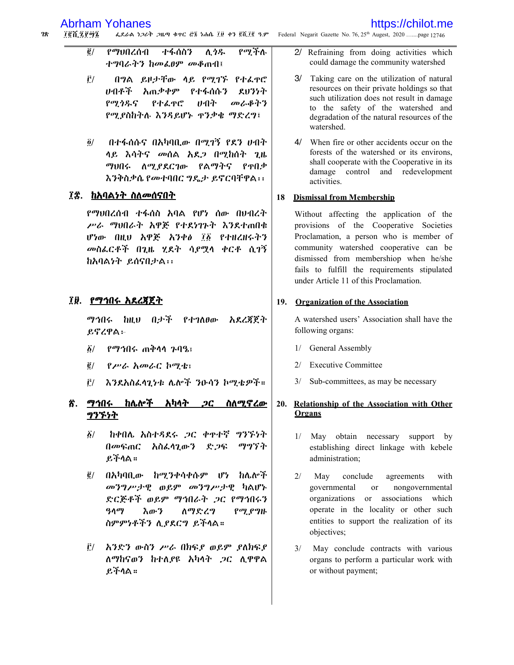- $\vec{e}$ / የሚችሉ የማህበረሰብ ተፋሰስን ሲ*ጎዱ* ተግባራትን ከመፌፀም መቆጠብ፤
- $\hat{\mathbf{r}}$ / በግል ይዞታቸው ሳይ የሚገኙ የተፌዋሮ ルイポギ አጠቃቀም የተፋሰሱን ደዘንንት የማሳዱና みつか መራቆትን የተፈዋሮ የሚያስከትሉ እንዳይሆኑ ዋንቃቄ ማድረግ፤
- $\ddot{\mathbf{0}}$ / በተፋሰሱና በአካባቢው በሚገኝ የደን ሆብት ላይ እሳትና መሰል አደጋ በሚከሰት ጊዜ ማህበሩ ለሚያደርገው የልማትና  $Pf$ ብቃ እንቅስቃሴ የመተባበር ግዴታ ይኖርባቸዋል፡፡

### ፲፰. ከአባልነት ስለመሰናበት

የማህበረሰብ ተፋሰስ አባል የሆነ ሰው በህብረት ሥራ ማህበራት አዋጅ የተደነገኑት እንደተጠበቁ ሆነው በዚህ አዋጅ አንቀል ፲፩ የተዘረዘሩትን መስፌርቶች በጊዜ ሂደት ሳይሟላ ቀርቶ ሲገኝ ከአባልነት ይሰናበታል፡፡

### ፲፱. <u>የማኅበሩ አደረጃጀት</u>

ማኅበሩ ከዚህ በታች የተገለፀው አደረጃጀት ይኖረዋል፦

- የማኅበሩ ጠቅሳሳ ንባዔ፣  $\boldsymbol{\delta}$ /
- $\vec{e}$  / የሥራ አመራር ኮሚቴ፣
- $\mathbf{\hat{r}}$ / እንደአስፌሳጊነቱ ሌሎች ንዑሳን ኮሚቴዎች።

### <u>፳. ማኅበሩ ከሌሎች አካላት *ጋ*ር ስለሚኖረው</u> <u> ግንኙነ</u>ት

- $\delta/$ ከቀበሌ አስተዳደሩ ጋር ቀዋተኛ ግንኙነት በመፍጠር አስፌሳጊውን ድጋፍ ማግኘት ይችላል።
- ፪/ በአካባቢው ከሚንቀሳቀሱም ሆነ ከሌሎች መንግሥታዊ ወይም መንግሥታዊ ካልሆኑ ድርጅቶች ወይም ማኅበራት ,ጋር የማኅበሩን 3499 እውን ለማድረግ የሚያግዙ ስምምነቶችን ሊያደርግ ይችላል።
- <u>፫/ አንድን ውስን ሥራ በክፍያ ወይም ያለክፍያ</u> ለማከናወን ከተለያዩ አካላት ጋር ሊዋዋል ይችላል።

2/ Refraining from doing activities which could damage the community watershed

https://chilot.me

- 3/ Taking care on the utilization of natural resources on their private holdings so that such utilization does not result in damage to the safety of the watershed and degradation of the natural resources of the watershed
- 4/ When fire or other accidents occur on the forests of the watershed or its environs, shall cooperate with the Cooperative in its damage control and redevelopment activities.

#### 18 **Dismissal from Membership**

Without affecting the application of the provisions of the Cooperative Societies Proclamation, a person who is member of community watershed cooperative can be dismissed from membershiop when he/she fails to fulfill the requirements stipulated under Article 11 of this Proclamation.

### 19. Organization of the Association

A watershed users' Association shall have the following organs:

- 1/ General Assembly
- $2/$ **Executive Committee**
- 3/ Sub-committees, as may be necessary

#### 20. Relationship of the Association with Other Organs

- 1/ May obtain necessary support by establishing direct linkage with kebele administration:
- $2/$ May conclude agreements with nongovernmental governmental **or** organizations or associations which operate in the locality or other such entities to support the realization of its objectives;
- $3/$ May conclude contracts with various organs to perform a particular work with or without payment;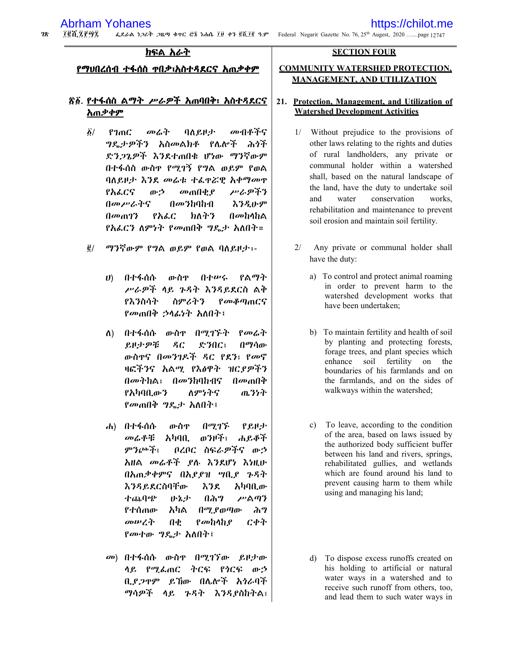$28$ 100.2092 ፌደራል ነጋሪት ጋዜጣ ቁጥር ፸፮ ነሐሴ ፲፱ ቀን ፪ሺ፲፪ ዓ.ም Federal Negarit Gazette No. 76, 25<sup>th</sup> Augest, 2020 .......page 12747

### ክፍል አራት

<u>የማህበረሰብ ተፋሰስ ዋበቃ፣አስተዳደርና አጠቃቀም</u>

### <u>ኛ፩. የተፋሰስ ልማት ሥራዎች አ</u>ጠበቅ፣ አስተዳደርና አጠቃቀም

- $\tilde{\mathbf{Q}}$ / የገጠር መሬት ባለይዞታ መብቶችና *ግ*ዴታዎችን አስመልክቶ የሌሎች ሕጎች ድንጋጌዎች እንደተጠበቁ ሆነው ማንኛውም በተፋሰስ ውስዋ የሚገኝ የግል ወይም የወል ባለይዞታ እንደ መሬቱ ተፌዋሯዊ አቀማመዋ የአፌርና ゕゥ *መ*ጠበቂያ アるダネタ በመሥራትና えろえいም  $\theta$ መንከባከብ  $\theta$ *m* $\theta$ ? የአራር わんみる በመከላከል የአፌርን ለምነት የመጠበቅ ግዴታ አለበት።
- $\vec{e}$  / ማንኛውም የግል ወይም የወል ባለይዞታ፡-
	- በተፋሰሱ イオルく የልማት  $\boldsymbol{v}$ ውስዋ ሥራዎች ላይ ጉዳት እንዳይደርስ ልቅ የእንስሳት ስምሪትን የመቆጣጠርና የመጠበቅ ኃሳፊነት አለበት፤
	- በተፋሰሱ ውስዋ በሚገኙት የመሬት  $\Lambda$ ) ይዞታዎቹ  $AC$ ድንበር፣ በማሳው ውስዋና በመንገዶች ዳር የደን፣ የመኖ ዛፎችንና አልሚ የእፅዋት ዝርደዎችን በመትከል፣ በመንከባከብና  $\theta$ መጠ $\ddot{\theta}$ የአካባቢውን ለምንትና ጨንነት የመጠበቅ ግዴታ አለበት፤
	- በሚገኙ  $d$ ) በተፋሰሱ ውስዋ የይዞታ መሬቶቹ አካባቢ ወንዞች፣ ሐይቆች ምንጮች፣ ቦረቦር ስፍራዎችና ውኃ አዘል መሬቶች ያሉ እንደሆነ እነዚሁ በአጠቃቀምና በአደደዝ ሣቢደ ጉዳት እንዳይደርስባቸው እንደ አካባቢው ተጨባጭ ሥልጣን かねず በሕግ የተሰጠው አካል በማ የወጣው ሕግ መሠረት ርቀት  $\theta$  $\mathbf{p}$ መከላከ $\mathbf{p}$ *የመ*ተው *ግ*ዴታ አለበት፤
	- መ) በተፋሰሱ ውስዋ በሚገኘው ይዞታው ላይ የሚፌጠር ትርፍ የሳርፍ ውኃ ይኸው በሌሎች አንራባች ቢደጋዋም ማሳዎች ላይ ጉዳት እንዳያስከትል፣

### **SECTION FOUR**

### **COMMUNITY WATERSHED PROTECTION. MANAGEMENT, AND UTILIZATION**

### 21. Protection, Management, and Utilization of **Watershed Development Activities**

- Without prejudice to the provisions of  $1/$ other laws relating to the rights and duties of rural landholders, any private or communal holder within a watershed shall, based on the natural landscape of the land, have the duty to undertake soil water and conservation works. rehabilitation and maintenance to prevent soil erosion and maintain soil fertility.
- $2/$ Any private or communal holder shall have the duty:
	- a) To control and protect animal roaming in order to prevent harm to the watershed development works that have been undertaken;
	- b) To maintain fertility and health of soil by planting and protecting forests, forage trees, and plant species which enhance soil fertility on the boundaries of his farmlands and on the farmlands, and on the sides of walkways within the watershed;
	- c) To leave, according to the condition of the area, based on laws issued by the authorized body sufficient buffer between his land and rivers, springs, rehabilitated gullies, and wetlands which are found around his land to prevent causing harm to them while using and managing his land;
	- d) To dispose excess runoffs created on his holding to artificial or natural water ways in a watershed and to receive such runoff from others, too, and lead them to such water ways in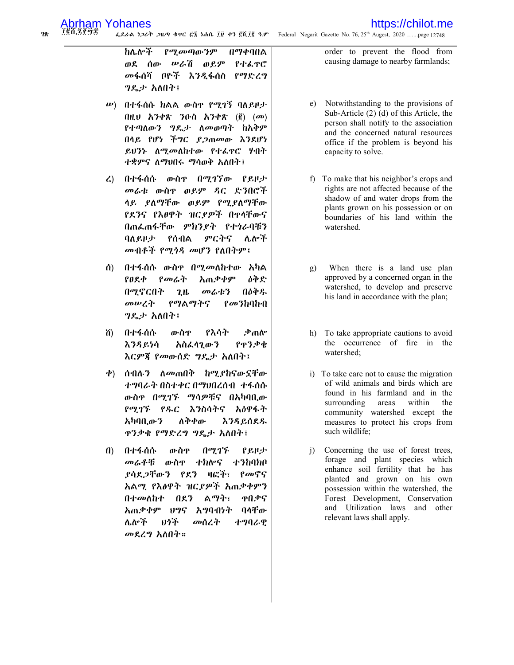76ሽ ZP6T 78. ፌደራል ነጋሪት ጋዜጣ ቁዋር ፸፮ ነሐሴ ፲፱ ቀን ፪ሺ፲፪ ዓ.ም Federal Negarit Gazette No. 76, 25<sup>th</sup> Augest, 2020 .......page 12748

> የሚመጣውንም በማቀባበል れんかぶ ሥራሽ ወይም ወደ ሰው የተፌዋሮ መፋሰሻ በዮች እንዲፋሰስ የማድረግ *ግ*ዴታ አለበት፤

- $\ket{w}$  በተፋሰሱ ክልል ውስዋ የሚገኝ ባለይዞታ  $(0)$   $h^3eR$   $(0)$   $h^3eR$   $(0)$   $(m)$ የተጣለውን ግዴታ ለመወጣት ከአቅም በላይ የሆነ ችግር ያጋጠመው እንደሆነ ይህንኑ ለሚመለከተው የተፈዋሮ ሃብት ተቋምና ለማህበሩ ማሳወቅ አለበት፤
- $\mathcal{L}$ በተፋሰሱ ውስዋ በሚገኘው የይዞታ መሬቱ ውስኖ ወይም ዳር ድንበሮች ላይ ያለማቸው ወይም የሚያለማቸው የደንና የእፀዋት ዝርያዎች በዋላቸውና በጠፌጠፋቸው ምክንያት የተጎራባቹን ባለይዞታ የሰብል ምርትና ሌሎች መብቶች የሚጎዳ መሆን የለበትም፤
- በተፋሰሱ ውስዋ በሚመለከተው አካል  $\mathbf{\hat{a}}$  $P$  $R$  $\Phi$ የመሬት አጠቃቀም ዕቅድ በሚኖርበት በዕቅዱ  $2<sub>th</sub>$ መሬቱን መሠረት የማልማትና  $\ell$ *መን*ከባከብ ግዴታ አለበት፤
- በተፋሰሱ ውስዋ የእሳት ቃጠሎ ሽ) እንዳይነሳ አስፌሳጊውን የዋንቃቁ እርምጃ የመውሰድ ግዴታ አለበት፤
- ቀ) ሰብለ*ን ለመ*ጠበቅ ከሚ*ያ*ከናውኗቸው ተግባራት በስተቀር በማህበረሰብ ተፋሰሱ ውስዋ በሚገኙ ማሳዎቹና በአካባቢው የሚገኙ የዱር እንስሳትና አዕዋፋት አካባቢውን ለቅቀው <u>እንዳይሰደዱ</u> **ዋንቃቄ የማድረግ ግዴታ አለበት፤**
- በተፋሰሱ ውስዋ በማኅኙ የ ይዞታ  $\mathbf{u}$ ተክሎና **ナクわりかい** መሬቶቹ ውስዋ ያሳደ*ጋ*ቸውን የደን ዛፎች፣ የመኖና አልሚ የእፅዋት ዝርያዎች አጠቃቀምን በተመለከተ ልማት፣ ዋበቃና  $0.87$ አጠቃቀም ፀግና አግባብነት ባላቸው ሌሎች りうそ መሰረት ተግባራዊ መደረግ አለበት።

order to prevent the flood from causing damage to nearby farmlands;

- e) Notwithstanding to the provisions of Sub-Article  $(2)$   $(d)$  of this Article, the person shall notify to the association and the concerned natural resources office if the problem is beyond his capacity to solve.
- f) To make that his neighbor's crops and rights are not affected because of the shadow of and water drops from the plants grown on his possession or on boundaries of his land within the watershed.
- When there is a land use plan g) approved by a concerned organ in the watershed, to develop and preserve his land in accordance with the plan;
- h) To take appropriate cautions to avoid the occurrence of fire in the watershed:
- i) To take care not to cause the migration of wild animals and birds which are found in his farmland and in the surrounding areas within the community watershed except the measures to protect his crops from such wildlife;
- Concerning the use of forest trees, i) forage and plant species which enhance soil fertility that he has planted and grown on his own possession within the watershed, the Forest Development, Conservation and Utilization laws and other relevant laws shall apply.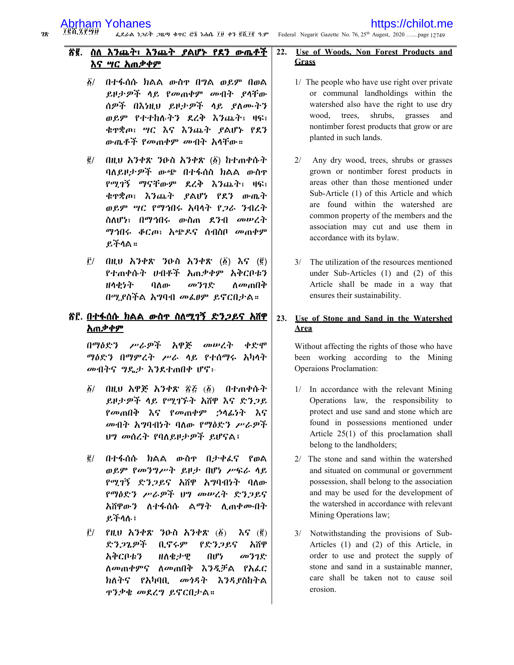፲፪ሺ ፯፻፵፱ ፌደራል ነጋሪት ጋዜጣ ቁጥር ሮ፮ ነሐሴ ፲፱ ቀን ፪ሺ፲፪ ዓ.ም Federal Negarit Gazette No. 76, 25<sup>th</sup> Augest, 2020 .......page 12749

#### Ճ፪. ስለ እንጨት፣ እንጨት ያልሆኑ የደን ውጤቶች እና ሣር አጠቃቀም

- በተፋሰሱ ክልል ውስዋ በግል ወይም በወል  $\delta/$ ይዞታ*ዎች* ላይ የመጠቀም መብት ያላቸው ሰዎች በእነዚህ ይዞታዎች ላይ ያለሙትን ወይም የተተከሉትን ደረቅ እንጨት፣ ዛፍ፣ ቁዋቋጦ፣ ሣር እና እንጨት ያልሆኑ የደን ውጤቶች የመጠቀም መብት አሳቸው።
- $\tilde{\mathbf{g}}/$ በዚህ አንቀጽ ንዑስ አንቀጽ (፩) ከተጠቀሱት ባለይዞታዎች ውጭ በተፋሰስ ክልል ውስዋ የሚገኝ ማናቸውም ደረቅ እንጨት፣ ዛፍ፣ ቁዋቋጦ፣ እንጨት ያልሆነ የደን ውጤት ወይም ሣር የማኅበሩ አባላት የ*ጋራ ን*ብረት ስለሆነ፣ በማኅበሩ ውስጠ ደንብ መሥረት *ማኅበሩ ቆር*ጦ፣ አሜዶና ሰብስቦ መጠቀም ይችሳል።
- $\vec{E}$ / በዚህ አንቀጽ ንዑስ አንቀጽ  $(\vec{B})$  እና  $(\vec{B})$ የተጠቀሱት ሀብቶች አጠቃቀም አቅርቦቱን **HAセケヤ** ባለው መንገድ ለመጠበቅ በሚደስችል አግባብ መፌፀም ይኖርበታል።

### <u>ኛ፫. በተፋሰሱ ክልል ውስዋ ስለሚገኝ ድንጋይና አሸዋ</u> <u>አጠቃቀም</u>

በማዕድን ሥራዎች አዋጅ መሠረት ቀድሞ ማዕድን በማምረት ሥራ ላይ የተሰማሩ አካላት መብትና ግዴታ እንደተጠበቀ ሆኖ፦

- በዚህ አዋጅ አንቀጽ ፳፩ (፩) በተጠቀሱት  $\delta/$ ይዞታዎች ላይ የሚገኙት አሽዋ እና ድንጋይ የመጠበቅ እና የመጠቀም ኃሳፊነት እና መብት አግባብነት ባለው የማዕድን ሥራዎች ህግ መሰረት የባለይዞታዎች ይሆናል፤
- ፪/ በተፋሰሱ ክልል ውስዋ በታቀፌና የወል ወይም የመንግሥት ይዞታ በሆነ ሥፍራ ሳይ የሚገኝ ድንጋይና አሽዋ አግባብነት ባለው የማዕድን ሥራዎች ህግ መሥረት ድንጋይና አሽዋውን ለተፋሰሱ ልማት ሊጠቀሙበት ይችላሉ፤
- $\mathbf{\vec{E}}$ / የዚህ አንቀጽ ንዑስ አንቀጽ  $(\mathbf{\vec{B}})$  $\lambda \mathbf{G}$  ( $\mathbf{g}$ ) ድንጋጌዎች ቢኖሩም የድንጋይና አሽዋ አቅርቦቱን かもみの  $\mathbf{u}$ መንገድ ለ*መ*ጠቀምና ለመጠበቅ እንዲቻል የአፌር ክለትና የአካባቢ መነዳት እንዳያስከትል ዋንቃቂ መደረግ ይኖርበታል።

#### 22. Use of Woods, Non Forest Products and Grass

- 1/ The people who have use right over private or communal landholdings within the watershed also have the right to use dry wood, trees, shrubs, grasses and nontimber forest products that grow or are planted in such lands.
- $2/$ Any dry wood, trees, shrubs or grasses grown or nontimber forest products in areas other than those mentioned under Sub-Article (1) of this Article and which are found within the watershed are common property of the members and the association may cut and use them in accordance with its bylaw.
- 3/ The utilization of the resources mentioned under Sub-Articles  $(1)$  and  $(2)$  of this Article shall be made in a way that ensures their sustainability.

#### $23.$ Use of Stone and Sand in the Watershed **Area**

Without affecting the rights of those who have been working according to the Mining **Operaions Proclamation:** 

- 1/ In accordance with the relevant Mining Operations law, the responsibility to protect and use sand and stone which are found in possessions mentioned under Article 25(1) of this proclamation shall belong to the landholders;
- 2/ The stone and sand within the watershed and situated on communal or government possession, shall belong to the association and may be used for the development of the watershed in accordance with relevant Mining Operations law;
- 3/ Notwithstanding the provisions of Sub-Articles (1) and (2) of this Article, in order to use and protect the supply of stone and sand in a sustainable manner, care shall be taken not to cause soil erosion.

78.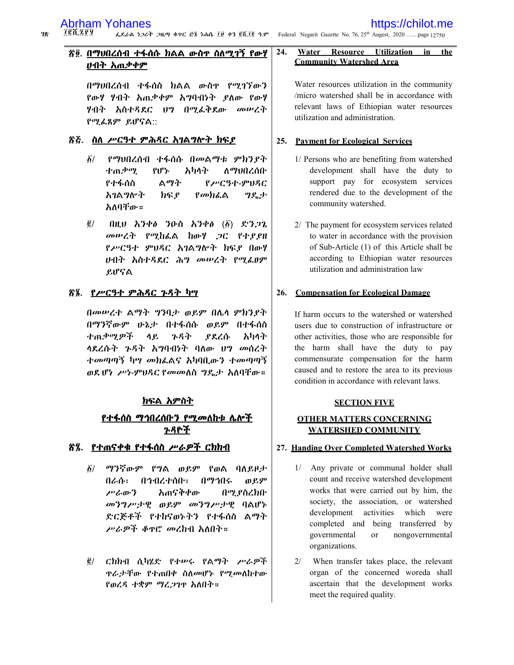$28$ 

24.

### <u>ኛ፬. በማህበረሰብ ተፋሰሱ ክልል ውስዋ ስለሚገኝ የውሃ</u> <u>ሀብት አጠቃቀም</u>

በማህበረሰብ ተፋሰስ ክልል ውስዋ የሚገኘውን የውሃ ሃብት አጠቃቀም አግባብነት ያስው የውሃ ሃብት አስተዳደር ህግ በሚፌቅደው መሥረት የሚፌጸም ይሆናል::

### ፳፭. ስለ ሥርዓተ ምሕጻር አገልግሎት ክፍያ

- ፩/ የማህበረሰብ ተፋሰሱ በመልማቱ ምክን*ያት* ለማህበረሰቡ ተጠቃሚ የሆኑ አካላት ልማት የተፋሰስ የሥርዓተ-ምህዳር አገልግሎት ክፍ ደ የመክፌል ግዴታ አለባቸው።
- $($ llt $\boldsymbol{v}$   $\boldsymbol{\lambda}$   $\boldsymbol{\lambda}$   $\boldsymbol{\psi}$   $\boldsymbol{\theta}$   $\boldsymbol{\lambda}$   $\boldsymbol{\lambda}$   $\boldsymbol{\psi}$   $\boldsymbol{\psi}$   $\boldsymbol{\psi}$   $\boldsymbol{\psi}$   $\boldsymbol{\psi}$   $\boldsymbol{\chi}$   $\boldsymbol{\eta}$   $\boldsymbol{\psi}$   $\boldsymbol{\chi}$   $\boldsymbol{\eta}$   $\boldsymbol{\chi}$   $\boldsymbol{\eta}$   $\boldsymbol{\chi}$   $\boldsymbol{\eta}$   $\boldsymbol{\chi}$   $\boldsymbol{\eta}$   $\boldsymbol{\chi}$  $\vec{e}$  / መሥረት የሚከራል ከውሃ ጋር የተያያዘ የሥርዓተ ምህዳር አገልግሎት ክፍያ በውሃ ሀብት አስተዳደር ሕግ መሠረት የሚፌፀም ይሆናል

### <u>ኛ፮. የሥርዓተ ምሕጻር ጉዳት ካሣ</u>

በመሠረተ ልማት ግንባታ ወይም በሌላ ምክንያት በማንኛውም ሁኔታ በተፋሰሱ ወይም በተፋሰስ ተጠቃሚዎች ሳይ ንዳት ያደረሱ አካላት ሳደረሱት ጉዳት አግባብነት ባለው ሀግ መሰረት ተመጣጣኝ ካሣ መክፌልና አካባቢውን ተመጣጣኝ ወደ ሆነ ሥነ-ምሀዳር የመመለስ ግዴታ አለባቸው።

### <u>ክፍል አምስት</u>

### <u>የተፋሰስ ማኅበረሰቡን የሚመለከቱ ሌሎች</u> <u>ንዳዮች</u>

### <u>ኛ፯. የተጠናቀቁ የተፋሰስ ሥራዎች ርክክብ</u>

- ፩/ ማንኛውም የ**ግል ወይም የወል ባ**ለይዞታ በራሱ፣ በኅብረተሰቡ፣ በማኅበሩ ወይም ሥራውን አጠናቅቀው በሚያስረክቡ መንግሥታዊ ወይም መንግሥታዊ ባልሆኑ ድርጅቶች የተከናወኑትን የተፋሰስ ልማት ሥራዎች ቆዋሮ መረከብ አለበት።
- ፪/ ርክክብ ሲካሄድ የተሥሩ የልማት ሥራዎች ዋራታቸው የተጠበቀ ስለመሆኑ የሚመለከተው የወረዳ ተቋም ማረጋገዋ አለበት።

#### **Utilization** Water Resource in the **Community Watershed Area**

Water resources utilization in the community /micro watershed shall be in accordance with relevant laws of Ethiopian water resources utilization and administration.

### 25. Payment for Ecological Services

- 1/ Persons who are benefiting from watershed development shall have the duty to support pay for ecosystem services rendered due to the development of the community watershed.
- 2/ The payment for ecosystem services related to water in accordance with the provision of Sub-Article (1) of this Article shall be according to Ethiopian water resources utilization and administration law

### 26. Compensation for Ecological Damage

If harm occurs to the watershed or watershed users due to construction of infrastructure or other activities, those who are responsible for the harm shall have the duty to pay commensurate compensation for the harm caused and to restore the area to its previous condition in accordance with relevant laws.

### **SECTION FIVE**

### **OTHER MATTERS CONCERNING WATERSHED COMMUNITY**

### 27. Handing Over Completed Watershed Works

- 1/ Any private or communal holder shall count and receive watershed development works that were carried out by him, the society, the association, or watershed development activities which were completed and being transferred by governmental  $\alpha$ nongovernmental organizations.
- $2/$ When transfer takes place, the relevant organ of the concerned woreda shall ascertain that the development works meet the required quality.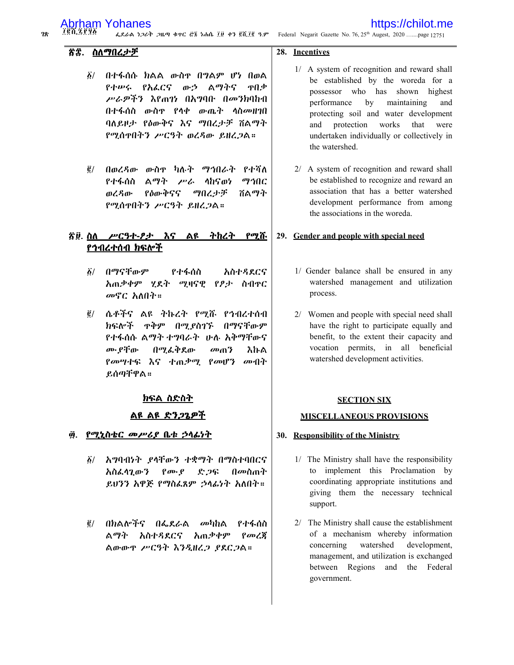78.

### https://chilot.me

ፌደራል ነጋሪት ጋዜጣ ቁጥር ፸፮ ነሐሴ ፲፱ ቀን ፪ሺ፲፪ ዓ.ም Federal Negarit Gazette No. 76, 25<sup>th</sup> Augest, 2020 .......page 12751

### ኛድ. ስለማበረታቻ

- $\delta$ / በተፋሰሱ ክልል ውስዋ በግልም ሆነ በወል የተሥሩ የአፌርና ውኃ ልማትና ዋበቃ ሥራዎችን እየጠን በአግባቡ በመንክባከብ በተፋሰስ ውስዋ የላቀ ውጤት ላስመዘገበ ባለይዞታ የዕውቅና እና ማበረታቻ ሽልማት የሚሰዋበትን ሥርዓት ወረዳው ይዘረጋል።
- ፪/ በወረዳው ውስዋ ካሉት ማኅበራት የተሻለ የተፋሰስ ልማት ሥራ ሳከናወነ ማኅበር ወረዳው የስውቅናና ののとよぎ ሽልማት የሚሰዋበትን ሥርዓት ይዘረጋል።

### <u>ኛ፱ ስለ ሥርዓተ-ፆታ እና ልዩ ትከረት የሚሹ</u> <u>የኅብረተሰብ ክፍሎች</u>

- *δ/ በማናቸውም* የተፋሰስ አስተዳደርና አጠቃቀም ሂደት ሚዛናዊ የዖታ ስብዋር መኖር አለበት።
- ፪/ ሴቶችና ልዩ ትኩረት የሚሹ የኅብረተሰብ ክፍሎች ቀቅም በማደስገኙ በማናቸውም የተፋሰሱ ልማት ተግባራት ሁሉ አቅማቸውና ሙ የቸው በሚፌቅደው መጠን እኩል *የመሣተፍ እና ተጠቃሚ የመሆን መብት* ይሰጣቸዋል።

### ክፍል ስድስት

### <u>ልዩ ልዩ ድንጋጌዎች</u>

#### የሚኒስቴር *መሥሪያ* ቤቱ ኃላፊነት <u>Ф.</u>

- ፩/ አግባብነት ደላቸውን ተቋማት በማስተባበርና አስፌሳጊውን  $\rho_{\boldsymbol{\sigma}}\cdot\rho$ ድጋፍ በመስጠት ይሆንን አዋጅ የማስፌጸም ኃሳፊነት አለበት።
- በክልሎችና በፌደራል መካከል  $\vec{e}$  / የተፋሰስ ልማት አስተዳደርና አጠቃቀም የመረጃ ልውውዋ ሥርዓት እንዲዘረጋ ያደርጋል።

### 28. Incentives

- 1/ A system of recognition and reward shall be established by the woreda for a possessor who has shown highest performance by maintaining and protecting soil and water development works and protection that were undertaken individually or collectively in the watershed.
- 2/ A system of recognition and reward shall be established to recognize and reward an association that has a better watershed development performance from among the associations in the woreda.

### 29. Gender and people with special need

- 1/ Gender balance shall be ensured in any watershed management and utilization process.
- 2/ Women and people with special need shall have the right to participate equally and benefit, to the extent their capacity and vocation permits, in all beneficial watershed development activities.

### **SECTION SIX**

### **MISCELLANEOUS PROVISIONS**

### 30. Responsibility of the Ministry

- 1/ The Ministry shall have the responsibility to implement this Proclamation by coordinating appropriate institutions and giving them the necessary technical support.
- 2/ The Ministry shall cause the establishment of a mechanism whereby information concerning watershed development, management, and utilization is exchanged between Regions and the Federal government.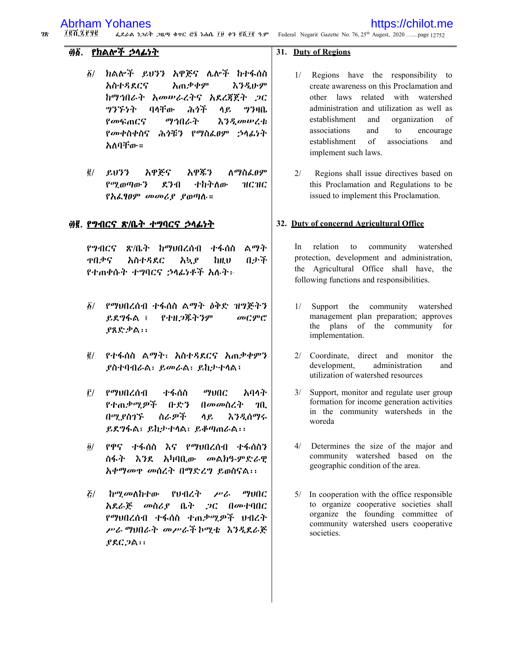https://chilot.me

 $28$ 7 @ N. Z & 9 @ ፌደራል ነጋሪት ጋዜጣ ቁተር ፸፮ ነሐሴ ፲፱ ቀን ፪ሺ፲፪ ዓ.ም Federal Negarit Gazette No. 76, 25<sup>th</sup> Augest, 2020 .......page 12752

### ፴፩. የክልሎች ኃላፊነት

- $\delta/$ ክልሎች ይሀንን አዋጅና ሌሎች ከተፋሰስ አጠቃቀም አስተዳደርና えろえゖヂ ከማኅበራት አመሥራረትና አደረጀጀት ጋር  $97H$ の3ኙ5ት ባላቸው ふうぶ ሳይ የመፍጠርና ማኅበራት **እንዲመሠረቱ** የመቀስቀስና ሕጎቹን የማስፌፀም ኃላፊነት አለባቸው።
- $\overline{6}$   $\overline{6}$   $\overline{6}$   $\overline{6}$   $\overline{2}$   $\overline{2}$ አዋጅና አዋጅን **ለ**ማስፌፀም  $\rho$ <sup>o</sup> $q$ <sub> $0$ </sub> $q$ <sub> $0$ </sub> $\sigma$  $\gamma$ ደንብ ተከትለው нснс የአፌፃፀም መመሪያ ያወጣሉ።

### ፴፪. የግብርና ጽ/ቤት ተግባርና ኃሳፊነት

የማብርና ጽ/ቤት ከማህበረሰብ ተፋሰስ ልማት አስተዳደር ዋበቃና ルナギ አኳያ **bH.D** የተጠቀሱት ተግባርና ኃላፊነቶች አሉት፦

- ፩/ የማህበረሰብ ተፋሰስ ልማት ዕቅድ ዝግጅትን ይደግፋል ፤ የተዘ*ጋችትንም* መርምር ያጸድቃል፡፡
- ፪/ የተፋሰስ ልማት፣ አስተዳደርና አጠቃቀምን **ያስተባብራል፣ ይመራል፣ ይከታተሳል፤**
- $\mathbf{\hat{r}}$   $\ell$   $\mathbf{a}$   $\mathbf{b}$   $\mathbf{a}$   $\mathbf{a}$   $\mathbf{a}$ ተፋሰስ **THIC** አባላት የተጠቃሚዎች ቡድን በመመስረት  $20<sub>1</sub>$ በሚያስገኙ ስራዎች ሳይ እንዲሰማሩ ይደግፋል፣ ይከታተሳል፣ ይቆጣጠራል፡፡
- የዋና ተፋሰስ እና የማሀበረሰብ ተፋሰስን  $\vec{\bm{o}}$ / ስፋት እንደ አካባቢው መልክዓ-ምድራዊ አቀማመዋ መሰረት በማድረግ ይወስናል፡፡
- $\mathbf{z}/\mathbf{z}$ ከ*ሚመ*ለከተው パレースネー  $P$ <sup> $\sigma$ </sup>  $\eta$ vac አደራጅ መስሪያ ቤት ጋር በመተባበር የማህበረሰብ ተፋሰስ ተጠቃሚዎች ህብረት ሥራ ማህበራት መሥራች ኮሚቴ እንዲደራጅ  $PAC.2A$ :

### 31. Duty of Regions

- 1/ Regions have the responsibility to create awareness on this Proclamation and other laws related with watershed administration and utilization as well as establishment and organization of associations and to encourage establishment of associations and implement such laws.
- $2/$ Regions shall issue directives based on this Proclamation and Regulations to be issued to implement this Proclamation.

### 32. Duty of concernd Agricultural Office

In relation to community watershed protection, development and administration, the Agricultural Office shall have, the following functions and responsibilities.

- $1/$ Support the community watershed management plan preparation; approves the plans of the community for implementation.
- 2/ Coordinate, direct and monitor the development. administration and utilization of watershed resources
- Support, monitor and regulate user group formation for income generation activities in the community watersheds in the woreda
- $4/$ Determines the size of the major and community watershed based on the geographic condition of the area.
- $5/$ In cooperation with the office responsible to organize cooperative societies shall organize the founding committee of community watershed users cooperative societies.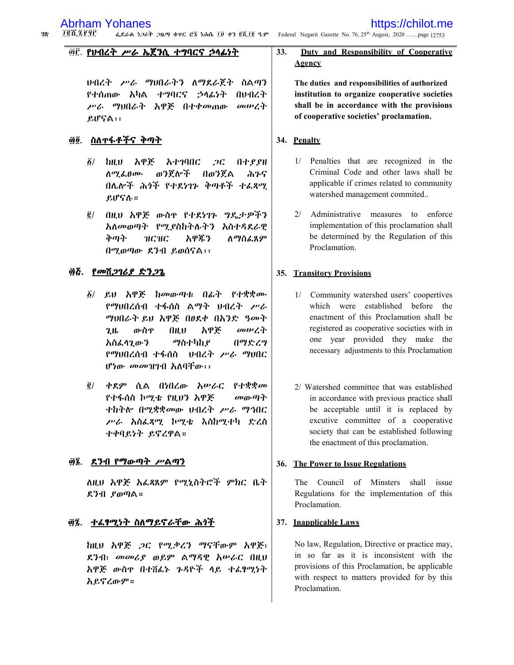$28$ **TEN ZFAC** ፌደራል ነጋሪት ጋዜጣ ቁጥር ፸፮ ነሐሴ ፲፱ ቀን ፪ሺ ፲፪ ዓ.ም Federal Negarit Gazette No. 76, 25<sup>th</sup> Augest, 2020 .......page 12753

### ፴፫. የህብረት ሥራ ኤጀንሲ ተግባርና ኃሳፊነት

ህብረት ሥራ ማህበራትን ለማደራጀት ስልጣን የተሰጠው አካል ተግባርና ኃላፊነት **በሀብረት** *ሥራ ግ*ህበራት አዋጅ በተቀመጠው መሠረት ይሆናል፡፡

### ፴፬. ስለ**ተፋቶችና** ቅጣት

- <u>፩/ ከዚህ አዋጅ</u> አተገባበር  $2C$ በተያያዘ ወንጀሎች በወንጀል ለማ ፌፀሙ ふふら በሌሎች ሕጎች የተደነገጉ ቅጣቶች ተፈጻሚ  $e$ J $e$ S $\lambda$ .:
- *@/ በዚህ አዋጅ ውስዋ የተደነገኑ ግዴታዎችን* አለመወጣት የሚያስከትሉትን አስተዳደራዊ ለ*ማ*ስፌጸም ቅጣት нсис አዋጁን በሚወጣው ደንብ ይወሰናል፡፡

### ፴፭. <u>የመሽጋገሪያ ድንጋጌ</u>

- ፩/ ይህ አዋጅ ከመውጣቱ በፊት የተቋቋሙ የማህበረሰብ ተፋሰስ ልማት ህብረት ሥራ ማህበራት ይህ አዋጅ በፀደቀ በአንድ ዓመት ውስዋ  $(1)$ አዋጅ መሠረት 2.H. ማስተካከያ በማድረግ አስፌሳጊውን የማህበረሰብ ተፋሰስ – ህብረት ሥራ ማህበር ሆ*ነ*ው *መመዝገ*ብ አለባቸው፡፡
- $\bar{g}$ / ቀደም ሲል በነበረው አሥራር የተቋቋመ የተፋሰስ ኮሚቴ የዚህን አዋጅ መውጣት ተከተሎ በሚቋቋመው ሀብረት *ሥራ ማኅ*በር ሥራ አስፌጻሚ ኮሚቴ እስከሚተካ ድረስ ተቀባይነት ይኖረዋል።

### ፴፮. <u>ደንብ የማውጣት ሥልጣን</u>

ለዚህ አዋጅ አፌጻጸም የሚኒስትሮች ምክር ቤት ደንብ ያወጣል።

### ፴፯ ተሬፃሚነት ስለማይኖራቸው ሕጎች

ከዚህ አዋጅ ጋር የሚቃረን ማናቸውም አዋጅ፣ ደንብ፣ መመሪያ ወይም ልማዳዊ አሥራር በዚህ አዋጅ ውስዋ በተሸፌኑ ጉዳዮች ላይ ተፌፃሚነት አይኖረውም።

#### 33. Duty and Responsibility of Cooperative Agency

The duties and responsibilities of authorized institution to organize cooperative societies shall be in accordance with the provisions of cooperative societies' proclamation.

### 34. Penalty

- 1/ Penalties that are recognized in the Criminal Code and other laws shall be applicable if crimes related to community watershed management commited...
- 2/ Administrative measures to enforce implementation of this proclamation shall be determined by the Regulation of this Proclamation.

### 35. Transitory Provisions

- 1/ Community watershed users' coopertives which were established before the enactment of this Proclamation shall be registered as cooperative societies with in one year provided they make the necessary adjustments to this Proclamation
- 2/ Watershed committee that was established in accordance with previous practice shall be acceptable until it is replaced by excutive committee of a cooperative society that can be established following the enactment of this proclamation.

### 36. The Power to Issue Regulations

The Council of Minsters shall issue Regulations for the implementation of this Proclamation.

### 37. Inapplicable Laws

No law, Regulation, Directive or practice may, in so far as it is inconsistent with the provisions of this Proclamation, be applicable with respect to matters provided for by this Proclamation.